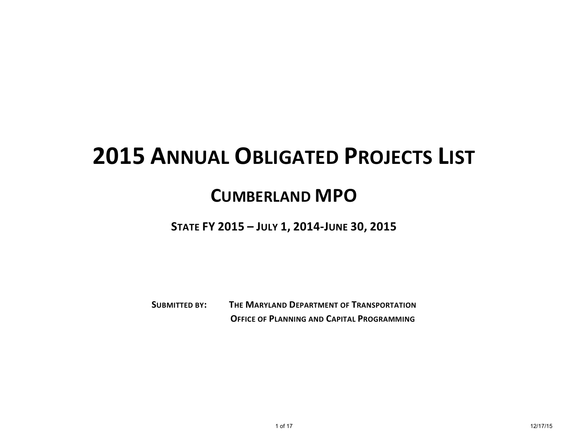## **2015 ANNUAL OBLIGATED PROJECTS LIST**

## **CUMBERLAND MPO**

**STATE FY 2015 – JULY 1, 2014-JUNE 30, 2015**

**SUBMITTED BY: THE MARYLAND DEPARTMENT OF TRANSPORTATION OFFICE OF PLANNING AND CAPITAL PROGRAMMING**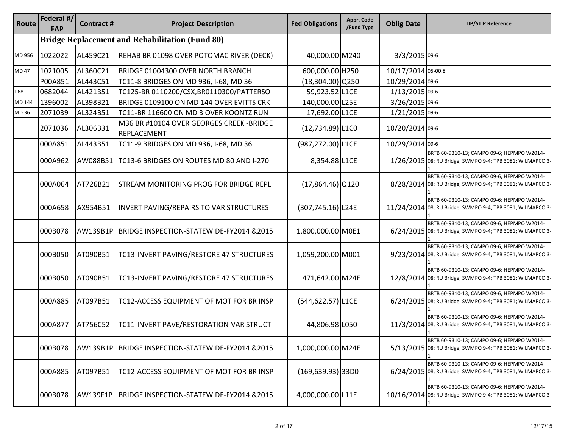| Route  | Federal #/<br><b>FAP</b> | <b>Contract#</b> | <b>Project Description</b>                                      | <b>Fed Obligations</b> | Appr. Code<br>/Fund Type | <b>Oblig Date</b>  | <b>TIP/STIP Reference</b>                                                                                |
|--------|--------------------------|------------------|-----------------------------------------------------------------|------------------------|--------------------------|--------------------|----------------------------------------------------------------------------------------------------------|
|        |                          |                  | <b>Bridge Replacement and Rehabilitation (Fund 80)</b>          |                        |                          |                    |                                                                                                          |
| MD 956 | 1022022                  | AL459C21         | REHAB BR 01098 OVER POTOMAC RIVER (DECK)                        | 40,000.00 M240         |                          | 3/3/2015 09-6      |                                                                                                          |
| MD 47  | 1021005                  | AL360C21         | BRIDGE 01004300 OVER NORTH BRANCH                               | 600,000.00 H250        |                          | 10/17/2014 05-00.8 |                                                                                                          |
|        | P00A851                  | AL443C51         | TC11-8 BRIDGES ON MD 936, I-68, MD 36                           | $(18, 304.00)$ Q250    |                          | 10/29/2014 09-6    |                                                                                                          |
| $I-68$ | 0682044                  | AL421B51         | TC125-BR 0110200/CSX, BR0110300/PATTERSO                        | 59,923.52 L1CE         |                          | 1/13/2015 09-6     |                                                                                                          |
| MD 144 | 1396002                  | AL398B21         | BRIDGE 0109100 ON MD 144 OVER EVITTS CRK                        | 140,000.00 L25E        |                          | 3/26/2015 09-6     |                                                                                                          |
| MD 36  | 2071039                  | AL324B51         | TC11-BR 116600 ON MD 3 OVER KOONTZ RUN                          | 17,692.00 L1CE         |                          | 1/21/2015 09-6     |                                                                                                          |
|        | 2071036                  | AL306B31         | M36 BR #10104 OVER GEORGES CREEK - BRIDGE<br><b>REPLACEMENT</b> | $(12,734.89)$ L1CO     |                          | 10/20/2014 09-6    |                                                                                                          |
|        | 000A851                  | AL443B51         | TC11-9 BRIDGES ON MD 936, I-68, MD 36                           | (987,272.00) L1CE      |                          | 10/29/2014 09-6    |                                                                                                          |
|        | 000A962                  | AW088B51         | TC13-6 BRIDGES ON ROUTES MD 80 AND I-270                        | 8,354.88 L1CE          |                          |                    | BRTB 60-9310-13; CAMPO 09-6; HEPMPO W2014-<br>1/26/2015 08; RU Bridge; SWMPO 9-4; TPB 3081; WILMAPCO 3   |
|        | 000A064                  | AT726B21         | <b>STREAM MONITORING PROG FOR BRIDGE REPL</b>                   | $(17,864.46)$ Q120     |                          |                    | BRTB 60-9310-13; CAMPO 09-6; HEPMPO W2014-<br>8/28/2014 08; RU Bridge; SWMPO 9-4; TPB 3081; WILMAPCO 3   |
|        | 000A658                  | AX954B51         | <b>INVERT PAVING/REPAIRS TO VAR STRUCTURES</b>                  | $(307, 745.16)$ L24E   |                          |                    | BRTB 60-9310-13; CAMPO 09-6; HEPMPO W2014-<br>11/24/2014 08; RU Bridge; SWMPO 9-4; TPB 3081; WILMAPCO 3  |
|        | 000B078                  | AW139B1P         | BRIDGE INSPECTION-STATEWIDE-FY2014 &2015                        | 1,800,000.00 M0E1      |                          |                    | BRTB 60-9310-13; CAMPO 09-6; HEPMPO W2014-<br>6/24/2015 08; RU Bridge; SWMPO 9-4; TPB 3081; WILMAPCO 3   |
|        | 000B050                  | AT090B51         | TC13-INVERT PAVING/RESTORE 47 STRUCTURES                        | 1,059,200.00 M001      |                          |                    | BRTB 60-9310-13; CAMPO 09-6; HEPMPO W2014-<br>9/23/2014 08; RU Bridge; SWMPO 9-4; TPB 3081; WILMAPCO 3   |
|        | 000B050                  | AT090B51         | TC13-INVERT PAVING/RESTORE 47 STRUCTURES                        | 471,642.00 M24E        |                          |                    | BRTB 60-9310-13; CAMPO 09-6; HEPMPO W2014-<br>12/8/2014 08; RU Bridge; SWMPO 9-4; TPB 3081; WILMAPCO 3-  |
|        | 000A885                  | AT097B51         | TC12-ACCESS EQUIPMENT OF MOT FOR BR INSP                        | (544,622.57) L1CE      |                          |                    | BRTB 60-9310-13; CAMPO 09-6; HEPMPO W2014-<br>6/24/2015 08; RU Bridge; SWMPO 9-4; TPB 3081; WILMAPCO 3   |
|        | 000A877                  | AT756C52         | TC11-INVERT PAVE/RESTORATION-VAR STRUCT                         | 44,806.98 L050         |                          |                    | BRTB 60-9310-13; CAMPO 09-6; HEPMPO W2014-<br>11/3/2014 08; RU Bridge; SWMPO 9-4; TPB 3081; WILMAPCO 3   |
|        | 000B078                  | AW139B1P         | BRIDGE INSPECTION-STATEWIDE-FY2014 &2015                        | 1,000,000.00 M24E      |                          |                    | BRTB 60-9310-13; CAMPO 09-6; HEPMPO W2014-<br>5/13/2015 08; RU Bridge; SWMPO 9-4; TPB 3081; WILMAPCO 3   |
|        | 000A885                  | AT097B51         | TC12-ACCESS EQUIPMENT OF MOT FOR BR INSP                        | $(169, 639.93)$ 33D0   |                          |                    | BRTB 60-9310-13; CAMPO 09-6; HEPMPO W2014-<br>6/24/2015 08; RU Bridge; SWMPO 9-4; TPB 3081; WILMAPCO 3-  |
|        | 000B078                  | <b>AW139F1P</b>  | BRIDGE INSPECTION-STATEWIDE-FY2014 &2015                        | 4,000,000.00 L11E      |                          |                    | BRTB 60-9310-13; CAMPO 09-6; HEPMPO W2014-<br>10/16/2014 08; RU Bridge; SWMPO 9-4; TPB 3081; WILMAPCO 3- |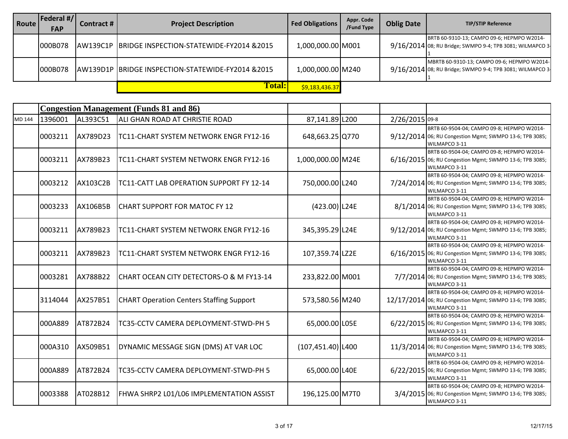| Route | Federal #/ <br><b>FAP</b> | Contract #       | <b>Project Description</b>                         | <b>Fed Obligations  </b> | Appr. Code<br>/Fund Type | <b>Oblig Date</b> | <b>TIP/STIP Reference</b>                                                                                |
|-------|---------------------------|------------------|----------------------------------------------------|--------------------------|--------------------------|-------------------|----------------------------------------------------------------------------------------------------------|
|       | 000B078                   |                  | AW139C1P BRIDGE INSPECTION-STATEWIDE-FY2014 & 2015 | 1,000,000.00 M001        |                          |                   | BRTB 60-9310-13; CAMPO 09-6; HEPMPO W2014-<br>9/16/2014 08; RU Bridge; SWMPO 9-4; TPB 3081; WILMAPCO 3-  |
|       | 000B078                   | <b>JAW139D1P</b> | BRIDGE INSPECTION-STATEWIDE-FY2014 &2015           | 1,000,000.00 M240        |                          |                   | MBRTB 60-9310-13; CAMPO 09-6; HEPMPO W2014-<br>9/16/2014 08; RU Bridge; SWMPO 9-4; TPB 3081; WILMAPCO 3- |
|       |                           |                  | <b>Total:</b>                                      | \$9,183,436.37           |                          |                   |                                                                                                          |

|        |         |                 | <b>Congestion Management (Funds 81 and 86)</b>  |                      |                |                                                                                                                         |
|--------|---------|-----------------|-------------------------------------------------|----------------------|----------------|-------------------------------------------------------------------------------------------------------------------------|
| MD 144 | 1396001 | AL393C51        | ALI GHAN ROAD AT CHRISTIE ROAD                  | 87,141.89 L200       | 2/26/2015 09-8 |                                                                                                                         |
|        | 0003211 | AX789D23        | TC11-CHART SYSTEM NETWORK ENGR FY12-16          | 648,663.25 Q770      |                | BRTB 60-9504-04; CAMPO 09-8; HEPMPO W2014-<br>9/12/2014 06; RU Congestion Mgmt; SWMPO 13-6; TPB 3085;<br>WILMAPCO 3-11  |
|        | 0003211 | AX789B23        | TC11-CHART SYSTEM NETWORK ENGR FY12-16          | 1,000,000.00 M24E    |                | BRTB 60-9504-04; CAMPO 09-8; HEPMPO W2014-<br>6/16/2015 06; RU Congestion Mgmt; SWMPO 13-6; TPB 3085;<br>WILMAPCO 3-11  |
|        | 0003212 | AX103C2B        | TC11-CATT LAB OPERATION SUPPORT FY 12-14        | 750,000.00 L240      |                | BRTB 60-9504-04; CAMPO 09-8; HEPMPO W2014-<br>7/24/2014 06; RU Congestion Mgmt; SWMPO 13-6; TPB 3085;<br>WILMAPCO 3-11  |
|        | 0003233 | <b>AX106B5B</b> | <b>CHART SUPPORT FOR MATOC FY 12</b>            | $(423.00)$ L24E      |                | BRTB 60-9504-04; CAMPO 09-8; HEPMPO W2014-<br>8/1/2014 06; RU Congestion Mgmt; SWMPO 13-6; TPB 3085;<br>WILMAPCO 3-11   |
|        | 0003211 | AX789B23        | TC11-CHART SYSTEM NETWORK ENGR FY12-16          | 345,395.29 L24E      |                | BRTB 60-9504-04; CAMPO 09-8; HEPMPO W2014-<br>9/12/2014 06; RU Congestion Mgmt; SWMPO 13-6; TPB 3085;<br>WILMAPCO 3-11  |
|        | 0003211 | AX789B23        | TC11-CHART SYSTEM NETWORK ENGR FY12-16          | 107,359.74 LZ2E      |                | BRTB 60-9504-04; CAMPO 09-8; HEPMPO W2014-<br>6/16/2015 06; RU Congestion Mgmt; SWMPO 13-6; TPB 3085;<br>WILMAPCO 3-11  |
|        | 0003281 | AX788B22        | CHART OCEAN CITY DETECTORS-O & M FY13-14        | 233,822.00 M001      |                | BRTB 60-9504-04; CAMPO 09-8; HEPMPO W2014-<br>7/7/2014 06; RU Congestion Mgmt; SWMPO 13-6; TPB 3085;<br>WILMAPCO 3-11   |
|        | 3114044 | AX257B51        | <b>CHART Operation Centers Staffing Support</b> | 573,580.56 M240      |                | BRTB 60-9504-04; CAMPO 09-8; HEPMPO W2014-<br>12/17/2014 06; RU Congestion Mgmt; SWMPO 13-6; TPB 3085;<br>WILMAPCO 3-11 |
|        | 000A889 | AT872B24        | TC35-CCTV CAMERA DEPLOYMENT-STWD-PH 5           | 65,000.00 L05E       |                | BRTB 60-9504-04; CAMPO 09-8; HEPMPO W2014-<br>6/22/2015 06; RU Congestion Mgmt; SWMPO 13-6; TPB 3085;<br>WILMAPCO 3-11  |
|        | 000A310 | AX509B51        | DYNAMIC MESSAGE SIGN (DMS) AT VAR LOC           | $(107, 451.40)$ L400 |                | BRTB 60-9504-04; CAMPO 09-8; HEPMPO W2014-<br>11/3/2014 06; RU Congestion Mgmt; SWMPO 13-6; TPB 3085;<br>WILMAPCO 3-11  |
|        | 000A889 | AT872B24        | TC35-CCTV CAMERA DEPLOYMENT-STWD-PH 5           | 65,000.00 L40E       |                | BRTB 60-9504-04; CAMPO 09-8; HEPMPO W2014-<br>6/22/2015 06; RU Congestion Mgmt; SWMPO 13-6; TPB 3085;<br>WILMAPCO 3-11  |
|        | 0003388 | AT028B12        | FHWA SHRP2 L01/L06 IMPLEMENTATION ASSIST        | 196,125.00 M7T0      |                | BRTB 60-9504-04; CAMPO 09-8; HEPMPO W2014-<br>3/4/2015 06; RU Congestion Mgmt; SWMPO 13-6; TPB 3085;<br>WILMAPCO 3-11   |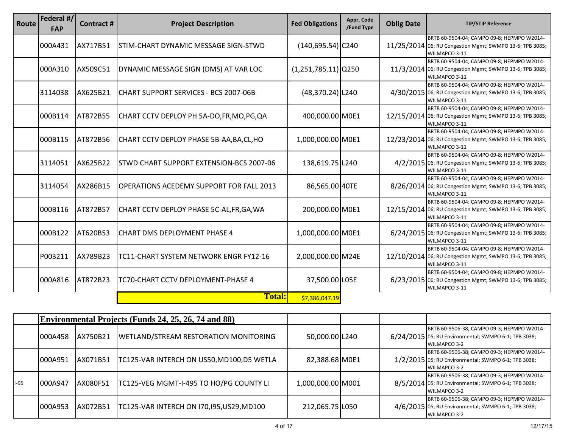| Route | Federal #/<br><b>FAP</b> | <b>Contract#</b> | <b>Project Description</b>                      | <b>Fed Obligations</b> | Appr. Code<br>/Fund Type | <b>Oblig Date</b> | <b>TIP/STIP Reference</b>                                                                                               |
|-------|--------------------------|------------------|-------------------------------------------------|------------------------|--------------------------|-------------------|-------------------------------------------------------------------------------------------------------------------------|
|       | 000A431                  | AX717B51         | STIM-CHART DYNAMIC MESSAGE SIGN-STWD            | $(140, 695.54)$ C240   |                          |                   | BRTB 60-9504-04; CAMPO 09-8; HEPMPO W2014-<br>11/25/2014 06; RU Congestion Mgmt; SWMPO 13-6; TPB 3085;<br>WILMAPCO 3-11 |
|       | 000A310                  | AX509C51         | DYNAMIC MESSAGE SIGN (DMS) AT VAR LOC           | $(1,251,785.11)$ Q250  |                          |                   | BRTB 60-9504-04; CAMPO 09-8; HEPMPO W2014-<br>11/3/2014 06; RU Congestion Mgmt; SWMPO 13-6; TPB 3085;<br>WILMAPCO 3-11  |
|       | 3114038                  | AX625B21         | CHART SUPPORT SERVICES - BCS 2007-06B           | $(48,370.24)$   L240   |                          |                   | BRTB 60-9504-04; CAMPO 09-8; HEPMPO W2014-<br>4/30/2015 06; RU Congestion Mgmt; SWMPO 13-6; TPB 3085;<br>WILMAPCO 3-11  |
|       | 000B114                  | AT872B55         | CHART CCTV DEPLOY PH 5A-DO, FR, MO, PG, QA      | 400,000.00 M0E1        |                          |                   | BRTB 60-9504-04; CAMPO 09-8; HEPMPO W2014-<br>12/15/2014 06; RU Congestion Mgmt; SWMPO 13-6; TPB 3085;<br>WILMAPCO 3-11 |
|       | 000B115                  | AT872B56         | CHART CCTV DEPLOY PHASE 5B-AA, BA, CL, HO       | 1,000,000.00 M0E1      |                          |                   | BRTB 60-9504-04; CAMPO 09-8; HEPMPO W2014-<br>12/23/2014 06; RU Congestion Mgmt; SWMPO 13-6; TPB 3085;<br>WILMAPCO 3-11 |
|       | 3114051                  | AX625B22         | STWD CHART SUPPORT EXTENSION-BCS 2007-06        | 138,619.75 L240        |                          |                   | BRTB 60-9504-04; CAMPO 09-8; HEPMPO W2014-<br>4/2/2015 06; RU Congestion Mgmt; SWMPO 13-6; TPB 3085;<br>WILMAPCO 3-11   |
|       | 3114054                  | AX286B15         | <b>OPERATIONS ACEDEMY SUPPORT FOR FALL 2013</b> | 86,565.00 40TE         |                          |                   | BRTB 60-9504-04; CAMPO 09-8; HEPMPO W2014-<br>8/26/2014 06; RU Congestion Mgmt; SWMPO 13-6; TPB 3085;<br>WILMAPCO 3-11  |
|       | 000B116                  | AT872B57         | CHART CCTV DEPLOY PHASE 5C-AL, FR, GA, WA       | 200,000.00 M0E1        |                          |                   | BRTB 60-9504-04; CAMPO 09-8; HEPMPO W2014-<br>12/15/2014 06; RU Congestion Mgmt; SWMPO 13-6; TPB 3085;<br>WILMAPCO 3-11 |
|       | 000B122                  | AT620B53         | <b>CHART DMS DEPLOYMENT PHASE 4</b>             | 1,000,000.00 M0E1      |                          |                   | BRTB 60-9504-04; CAMPO 09-8; HEPMPO W2014-<br>6/24/2015 06; RU Congestion Mgmt; SWMPO 13-6; TPB 3085;<br>WILMAPCO 3-11  |
|       | P003211                  | AX789B23         | TC11-CHART SYSTEM NETWORK ENGR FY12-16          | 2,000,000.00 M24E      |                          |                   | BRTB 60-9504-04; CAMPO 09-8; HEPMPO W2014-<br>12/10/2014 06; RU Congestion Mgmt; SWMPO 13-6; TPB 3085;<br>WILMAPCO 3-11 |
|       | 000A816                  | AT872B23         | TC70-CHART CCTV DEPLOYMENT-PHASE 4              | 37,500.00 L05E         |                          |                   | BRTB 60-9504-04; CAMPO 09-8; HEPMPO W2014-<br>6/23/2015 06; RU Congestion Mgmt; SWMPO 13-6; TPB 3085;<br>WILMAPCO 3-11  |
|       |                          |                  | <b>Total:</b>                                   | \$7,386,047.19         |                          |                   |                                                                                                                         |

|        |                 |           | Environmental Projects (Funds 24, 25, 26, 74 and 88) |                   |  |                                                                                                                           |
|--------|-----------------|-----------|------------------------------------------------------|-------------------|--|---------------------------------------------------------------------------------------------------------------------------|
|        | 000A458         | AX750B21  | <b>WETLAND/STREAM RESTORATION MONITORING</b>         | 50,000.00 L240    |  | BRTB 60-9506-38; CAMPO 09-3; HEPMPO W2014-<br>6/24/2015 05; RU Environmental; SWMPO 6-1; TPB 3038;<br><b>WILMAPCO 3-2</b> |
|        | <b>1000A951</b> | IAX071B51 | TC125-VAR INTERCH ON US50,MD100,D5 WETLA             | 82,388.68 MOE1    |  | BRTB 60-9506-38; CAMPO 09-3; HEPMPO W2014-<br>1/2/2015 05; RU Environmental; SWMPO 6-1; TPB 3038;<br><b>WILMAPCO 3-2</b>  |
| $I-95$ | 000A947         | AX080F51  | TC125-VEG MGMT-I-495 TO HO/PG COUNTY LI              | 1,000,000.00 M001 |  | BRTB 60-9506-38; CAMPO 09-3; HEPMPO W2014-<br>8/5/2014 05; RU Environmental; SWMPO 6-1; TPB 3038;<br><b>WILMAPCO 3-2</b>  |
|        | 000A953         | IAX072B51 | TC125-VAR INTERCH ON 170,195,US29,MD100              | 212,065.75 L050   |  | BRTB 60-9506-38; CAMPO 09-3; HEPMPO W2014-<br>4/6/2015 05; RU Environmental; SWMPO 6-1; TPB 3038;<br>WILMAPCO 3-2         |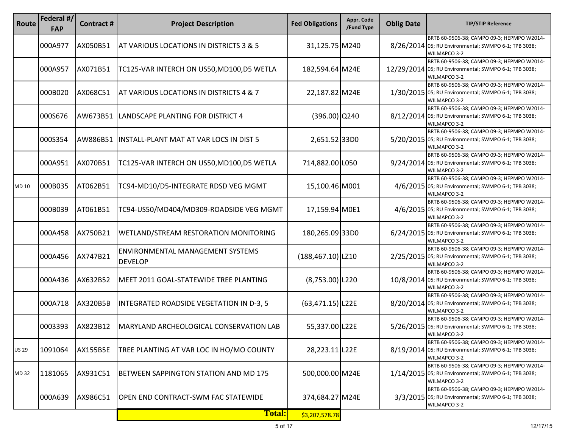| Route        | Federal #/<br><b>FAP</b> | Contract#       | <b>Project Description</b>                         | <b>Fed Obligations</b> | Appr. Code<br>/Fund Type | <b>Oblig Date</b> | <b>TIP/STIP Reference</b>                                                                                           |
|--------------|--------------------------|-----------------|----------------------------------------------------|------------------------|--------------------------|-------------------|---------------------------------------------------------------------------------------------------------------------|
|              | 000A977                  | AX050B51        | AT VARIOUS LOCATIONS IN DISTRICTS 3 & 5            | 31,125.75 M240         |                          |                   | BRTB 60-9506-38; CAMPO 09-3; HEPMPO W2014-<br>8/26/2014 05; RU Environmental; SWMPO 6-1; TPB 3038;<br>WILMAPCO 3-2  |
|              | 000A957                  | AX071B51        | TC125-VAR INTERCH ON US50,MD100,D5 WETLA           | 182,594.64 M24E        |                          |                   | BRTB 60-9506-38; CAMPO 09-3; HEPMPO W2014-<br>12/29/2014 05; RU Environmental; SWMPO 6-1; TPB 3038;<br>WILMAPCO 3-2 |
|              | 000B020                  | AX068C51        | AT VARIOUS LOCATIONS IN DISTRICTS 4 & 7            | 22,187.82 M24E         |                          |                   | BRTB 60-9506-38; CAMPO 09-3; HEPMPO W2014-<br>1/30/2015 05; RU Environmental; SWMPO 6-1; TPB 3038;<br>WILMAPCO 3-2  |
|              | 000S676                  | AW673B51        | LANDSCAPE PLANTING FOR DISTRICT 4                  | $(396.00)$ Q240        |                          |                   | BRTB 60-9506-38; CAMPO 09-3; HEPMPO W2014-<br>8/12/2014 05; RU Environmental; SWMPO 6-1; TPB 3038;<br>WILMAPCO 3-2  |
|              | 000S354                  | AW886B51        | INSTALL-PLANT MAT AT VAR LOCS IN DIST 5            | 2,651.5233D0           |                          |                   | BRTB 60-9506-38; CAMPO 09-3; HEPMPO W2014-<br>5/20/2015 05; RU Environmental; SWMPO 6-1; TPB 3038;<br>WILMAPCO 3-2  |
|              | 000A951                  | AX070B51        | TC125-VAR INTERCH ON US50,MD100,D5 WETLA           | 714,882.00 L050        |                          |                   | BRTB 60-9506-38; CAMPO 09-3; HEPMPO W2014-<br>9/24/2014 05; RU Environmental; SWMPO 6-1; TPB 3038;<br>WILMAPCO 3-2  |
| MD 10        | 000B035                  | AT062B51        | TC94-MD10/D5-INTEGRATE RDSD VEG MGMT               | 15,100.46 M001         |                          |                   | BRTB 60-9506-38; CAMPO 09-3; HEPMPO W2014-<br>4/6/2015 05; RU Environmental; SWMPO 6-1; TPB 3038;<br>WILMAPCO 3-2   |
|              | 000B039                  | AT061B51        | TC94-US50/MD404/MD309-ROADSIDE VEG MGMT            | 17,159.94 M0E1         |                          |                   | BRTB 60-9506-38; CAMPO 09-3; HEPMPO W2014-<br>4/6/2015 05; RU Environmental; SWMPO 6-1; TPB 3038;<br>WILMAPCO 3-2   |
|              | 000A458                  | AX750B21        | WETLAND/STREAM RESTORATION MONITORING              | 180,265.09 33D0        |                          |                   | BRTB 60-9506-38; CAMPO 09-3; HEPMPO W2014-<br>6/24/2015 05; RU Environmental; SWMPO 6-1; TPB 3038;<br>WILMAPCO 3-2  |
|              | 000A456                  | AX747B21        | ENVIRONMENTAL MANAGEMENT SYSTEMS<br><b>DEVELOP</b> | $(188, 467.10)$   LZ10 |                          |                   | BRTB 60-9506-38; CAMPO 09-3; HEPMPO W2014-<br>2/25/2015 05; RU Environmental; SWMPO 6-1; TPB 3038;<br>WILMAPCO 3-2  |
|              | 000A436                  | AX632B52        | MEET 2011 GOAL-STATEWIDE TREE PLANTING             | $(8,753.00)$ L220      |                          |                   | BRTB 60-9506-38; CAMPO 09-3; HEPMPO W2014-<br>10/8/2014 05; RU Environmental; SWMPO 6-1; TPB 3038;<br>WILMAPCO 3-2  |
|              | 000A718                  | <b>AX320B5B</b> | INTEGRATED ROADSIDE VEGETATION IN D-3, 5           | $(63, 471.15)$   L22E  |                          |                   | BRTB 60-9506-38; CAMPO 09-3; HEPMPO W2014-<br>8/20/2014 05; RU Environmental; SWMPO 6-1; TPB 3038;<br>WILMAPCO 3-2  |
|              | 0003393                  | AX823B12        | MARYLAND ARCHEOLOGICAL CONSERVATION LAB            | 55,337.00 L22E         |                          |                   | BRTB 60-9506-38; CAMPO 09-3; HEPMPO W2014-<br>5/26/2015 05; RU Environmental; SWMPO 6-1; TPB 3038;<br>WILMAPCO 3-2  |
| <b>US 29</b> | 1091064                  | <b>AX155B5E</b> | TREE PLANTING AT VAR LOC IN HO/MO COUNTY           | 28,223.11 L22E         |                          | 8/19/2014         | BRTB 60-9506-38; CAMPO 09-3; HEPMPO W2014-<br>05; RU Environmental; SWMPO 6-1; TPB 3038;<br>WILMAPCO 3-2            |
| MD 32        | 1181065                  | AX931C51        | BETWEEN SAPPINGTON STATION AND MD 175              | 500,000.00 M24E        |                          |                   | BRTB 60-9506-38; CAMPO 09-3; HEPMPO W2014-<br>1/14/2015 05; RU Environmental; SWMPO 6-1; TPB 3038;<br>WILMAPCO 3-2  |
|              | 000A639                  | AX986C51        | <b>OPEN END CONTRACT-SWM FAC STATEWIDE</b>         | 374,684.27 M24E        |                          | 3/3/2015          | BRTB 60-9506-38; CAMPO 09-3; HEPMPO W2014-<br>05; RU Environmental; SWMPO 6-1; TPB 3038;<br>WILMAPCO 3-2            |
|              |                          |                 | <b>Total:</b>                                      | \$3,207,578.78         |                          |                   |                                                                                                                     |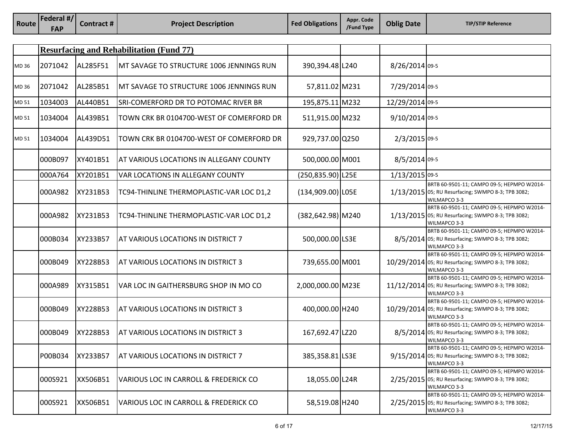| Route | Federal #/<br><b>FAP</b> | <b>Contract#</b> | <b>Project Description</b>                       | <b>Fed Obligations</b> | Appr. Code<br>/Fund Type | <b>Oblig Date</b> | <b>TIP/STIP Reference</b>                                                                                         |
|-------|--------------------------|------------------|--------------------------------------------------|------------------------|--------------------------|-------------------|-------------------------------------------------------------------------------------------------------------------|
|       |                          |                  |                                                  |                        |                          |                   |                                                                                                                   |
|       |                          |                  | <b>Resurfacing and Rehabilitation (Fund 77)</b>  |                        |                          |                   |                                                                                                                   |
| MD 36 | 2071042                  | AL285F51         | MT SAVAGE TO STRUCTURE 1006 JENNINGS RUN         | 390,394.48 L240        |                          | 8/26/2014 09-5    |                                                                                                                   |
| MD 36 | 2071042                  | AL285B51         | MT SAVAGE TO STRUCTURE 1006 JENNINGS RUN         | 57,811.02 M231         |                          | 7/29/2014 09-5    |                                                                                                                   |
| MD 51 | 1034003                  | AL440B51         | SRI-COMERFORD DR TO POTOMAC RIVER BR             | 195,875.11 M232        |                          | 12/29/2014 09-5   |                                                                                                                   |
| MD 51 | 1034004                  | AL439B51         | TOWN CRK BR 0104700-WEST OF COMERFORD DR         | 511,915.00 M232        |                          | 9/10/2014 09-5    |                                                                                                                   |
| MD 51 | 1034004                  | AL439D51         | TOWN CRK BR 0104700-WEST OF COMERFORD DR         | 929,737.00 Q250        |                          | 2/3/2015 09-5     |                                                                                                                   |
|       | 000B097                  | XY401B51         | AT VARIOUS LOCATIONS IN ALLEGANY COUNTY          | 500,000.00 M001        |                          | 8/5/2014 09-5     |                                                                                                                   |
|       | 000A764                  | XY201B51         | <b>VAR LOCATIONS IN ALLEGANY COUNTY</b>          | (250,835.90) L25E      |                          | 1/13/2015 09-5    |                                                                                                                   |
|       | 000A982                  | XY231B53         | TC94-THINLINE THERMOPLASTIC-VAR LOC D1,2         | $(134,909.00)$ LOSE    |                          |                   | BRTB 60-9501-11; CAMPO 09-5; HEPMPO W2014-<br>1/13/2015 05; RU Resurfacing; SWMPO 8-3; TPB 3082;<br>WILMAPCO 3-3  |
|       | 000A982                  | XY231B53         | TC94-THINLINE THERMOPLASTIC-VAR LOC D1,2         | (382,642.98) M240      |                          |                   | BRTB 60-9501-11; CAMPO 09-5; HEPMPO W2014-<br>1/13/2015 05; RU Resurfacing; SWMPO 8-3; TPB 3082;<br>WILMAPCO 3-3  |
|       | 000B034                  | XY233B57         | AT VARIOUS LOCATIONS IN DISTRICT 7               | 500,000.00 LS3E        |                          |                   | BRTB 60-9501-11; CAMPO 09-5; HEPMPO W2014-<br>8/5/2014 05; RU Resurfacing; SWMPO 8-3; TPB 3082;<br>WILMAPCO 3-3   |
|       | 000B049                  | XY228B53         | AT VARIOUS LOCATIONS IN DISTRICT 3               | 739,655.00 M001        |                          |                   | BRTB 60-9501-11; CAMPO 09-5; HEPMPO W2014-<br>10/29/2014 05; RU Resurfacing; SWMPO 8-3; TPB 3082;<br>WILMAPCO 3-3 |
|       | 000A989                  | XY315B51         | VAR LOC IN GAITHERSBURG SHOP IN MO CO            | 2,000,000.00 M23E      |                          |                   | BRTB 60-9501-11; CAMPO 09-5; HEPMPO W2014-<br>11/12/2014 05; RU Resurfacing; SWMPO 8-3; TPB 3082;<br>WILMAPCO 3-3 |
|       | 000B049                  | XY228B53         | AT VARIOUS LOCATIONS IN DISTRICT 3               | 400,000.00 H240        |                          |                   | BRTB 60-9501-11; CAMPO 09-5; HEPMPO W2014-<br>10/29/2014 05; RU Resurfacing; SWMPO 8-3; TPB 3082;<br>WILMAPCO 3-3 |
|       | 000B049                  | XY228B53         | AT VARIOUS LOCATIONS IN DISTRICT 3               | 167,692.47 LZ20        |                          |                   | BRTB 60-9501-11; CAMPO 09-5; HEPMPO W2014-<br>8/5/2014 05; RU Resurfacing; SWMPO 8-3; TPB 3082;<br>WILMAPCO 3-3   |
|       | P00B034                  | XY233B57         | AT VARIOUS LOCATIONS IN DISTRICT 7               | 385,358.81 LS3E        |                          |                   | BRTB 60-9501-11; CAMPO 09-5; HEPMPO W2014-<br>9/15/2014 05; RU Resurfacing; SWMPO 8-3; TPB 3082;<br>WILMAPCO 3-3  |
|       | 000S921                  | XX506B51         | VARIOUS LOC IN CARROLL & FREDERICK CO            | 18,055.00 L24R         |                          |                   | BRTB 60-9501-11; CAMPO 09-5; HEPMPO W2014-<br>2/25/2015 05; RU Resurfacing; SWMPO 8-3; TPB 3082;<br>WILMAPCO 3-3  |
|       | 000S921                  | XX506B51         | <b>VARIOUS LOC IN CARROLL &amp; FREDERICK CO</b> | 58,519.08 H240         |                          |                   | BRTB 60-9501-11; CAMPO 09-5; HEPMPO W2014-<br>2/25/2015 05; RU Resurfacing; SWMPO 8-3; TPB 3082;<br>WILMAPCO 3-3  |

**Federal #/**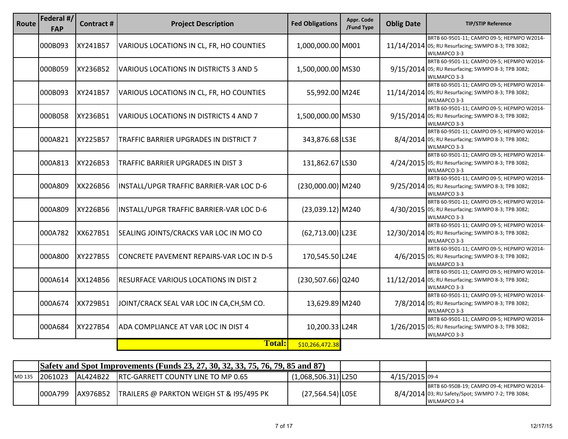| Route | Federal #/<br><b>FAP</b> | <b>Contract#</b> | <b>Project Description</b>                    | <b>Fed Obligations</b> | Appr. Code<br>/Fund Type | <b>Oblig Date</b> | <b>TIP/STIP Reference</b>                                                                                         |
|-------|--------------------------|------------------|-----------------------------------------------|------------------------|--------------------------|-------------------|-------------------------------------------------------------------------------------------------------------------|
|       | 000B093                  | XY241B57         | VARIOUS LOCATIONS IN CL, FR, HO COUNTIES      | 1,000,000.00 M001      |                          |                   | BRTB 60-9501-11; CAMPO 09-5; HEPMPO W2014-<br>11/14/2014 05; RU Resurfacing; SWMPO 8-3; TPB 3082;<br>WILMAPCO 3-3 |
|       | 000B059                  | XY236B52         | VARIOUS LOCATIONS IN DISTRICTS 3 AND 5        | 1,500,000.00 MS30      |                          |                   | BRTB 60-9501-11; CAMPO 09-5; HEPMPO W2014-<br>9/15/2014 05; RU Resurfacing; SWMPO 8-3; TPB 3082;<br>WILMAPCO 3-3  |
|       | 000B093                  | XY241B57         | VARIOUS LOCATIONS IN CL, FR, HO COUNTIES      | 55,992.00 M24E         |                          |                   | BRTB 60-9501-11; CAMPO 09-5; HEPMPO W2014-<br>11/14/2014 05; RU Resurfacing; SWMPO 8-3; TPB 3082;<br>WILMAPCO 3-3 |
|       | 000B058                  | XY236B51         | VARIOUS LOCATIONS IN DISTRICTS 4 AND 7        | 1,500,000.00 MS30      |                          |                   | BRTB 60-9501-11; CAMPO 09-5; HEPMPO W2014-<br>9/15/2014 05; RU Resurfacing; SWMPO 8-3; TPB 3082;<br>WILMAPCO 3-3  |
|       | 000A821                  | XY225B57         | <b>TRAFFIC BARRIER UPGRADES IN DISTRICT 7</b> | 343,876.68 LS3E        |                          |                   | BRTB 60-9501-11; CAMPO 09-5; HEPMPO W2014-<br>8/4/2014 05; RU Resurfacing; SWMPO 8-3; TPB 3082;<br>WILMAPCO 3-3   |
|       | 000A813                  | XY226B53         | <b>TRAFFIC BARRIER UPGRADES IN DIST 3</b>     | 131,862.67 LS30        |                          |                   | BRTB 60-9501-11; CAMPO 09-5; HEPMPO W2014-<br>4/24/2015 05; RU Resurfacing; SWMPO 8-3; TPB 3082;<br>WILMAPCO 3-3  |
|       | 000A809                  | XX226B56         | INSTALL/UPGR TRAFFIC BARRIER-VAR LOC D-6      | (230,000.00) M240      |                          |                   | BRTB 60-9501-11; CAMPO 09-5; HEPMPO W2014-<br>9/25/2014 05; RU Resurfacing; SWMPO 8-3; TPB 3082;<br>WILMAPCO 3-3  |
|       | 000A809                  | XY226B56         | INSTALL/UPGR TRAFFIC BARRIER-VAR LOC D-6      | $(23,039.12)$ M240     |                          |                   | BRTB 60-9501-11; CAMPO 09-5; HEPMPO W2014-<br>4/30/2015 05; RU Resurfacing; SWMPO 8-3; TPB 3082;<br>WILMAPCO 3-3  |
|       | 000A782                  | XX627B51         | SEALING JOINTS/CRACKS VAR LOC IN MO CO        | $(62,713.00)$ L23E     |                          |                   | BRTB 60-9501-11; CAMPO 09-5; HEPMPO W2014-<br>12/30/2014 05; RU Resurfacing; SWMPO 8-3; TPB 3082;<br>WILMAPCO 3-3 |
|       | 000A800                  | XY227B55         | CONCRETE PAVEMENT REPAIRS-VAR LOC IN D-5      | 170,545.50 L24E        |                          |                   | BRTB 60-9501-11; CAMPO 09-5; HEPMPO W2014-<br>4/6/2015 05; RU Resurfacing; SWMPO 8-3; TPB 3082;<br>WILMAPCO 3-3   |
|       | 000A614                  | XX124B56         | RESURFACE VARIOUS LOCATIONS IN DIST 2         | $(230, 507.66)$ Q240   |                          |                   | BRTB 60-9501-11; CAMPO 09-5; HEPMPO W2014-<br>11/12/2014 05; RU Resurfacing; SWMPO 8-3; TPB 3082;<br>WILMAPCO 3-3 |
|       | 000A674                  | XX729B51         | JOINT/CRACK SEAL VAR LOC IN CA, CH, SM CO.    | 13,629.89 M240         |                          |                   | BRTB 60-9501-11; CAMPO 09-5; HEPMPO W2014-<br>7/8/2014 05; RU Resurfacing; SWMPO 8-3; TPB 3082;<br>WILMAPCO 3-3   |
|       | 000A684                  | XY227B54         | ADA COMPLIANCE AT VAR LOC IN DIST 4           | 10,200.33 L24R         |                          |                   | BRTB 60-9501-11; CAMPO 09-5; HEPMPO W2014-<br>1/26/2015 05; RU Resurfacing; SWMPO 8-3; TPB 3082;<br>WILMAPCO 3-3  |
|       |                          |                  | <b>Total:</b>                                 | \$10,266,472.38        |                          |                   |                                                                                                                   |

|        | <b>Safety and Spot Improvements (Funds 23, 27, 30, 32, 33, 75, 76, 79, 85 and 87)</b> |                  |                                                     |                       |                |                                                                                                                 |
|--------|---------------------------------------------------------------------------------------|------------------|-----------------------------------------------------|-----------------------|----------------|-----------------------------------------------------------------------------------------------------------------|
| MD 135 | 12061023                                                                              | AL424B22         | <b>RTC-GARRETT COUNTY LINE TO MP 0.65</b>           | $(1,068,506.31)$ L250 | 4/15/2015 09-4 |                                                                                                                 |
|        | 000A799                                                                               | <b>JAX976B52</b> | <b>TRAILERS @ PARKTON WEIGH ST &amp; 195/495 PK</b> | (27,564.54) LO5E      |                | BRTB 60-9508-19; CAMPO 09-4; HEPMPO W2014-<br>8/4/2014 03; RU Safety/Spot; SWMPO 7-2; TPB 3084;<br>WILMAPCO 3-4 |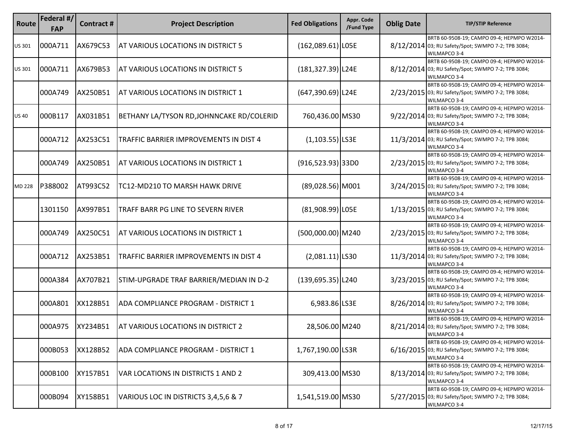| Route         | Federal #/<br><b>FAP</b> | Contract# | <b>Project Description</b>                | <b>Fed Obligations</b> | Appr. Code<br>/Fund Type | <b>Oblig Date</b> | <b>TIP/STIP Reference</b>                                                                                        |
|---------------|--------------------------|-----------|-------------------------------------------|------------------------|--------------------------|-------------------|------------------------------------------------------------------------------------------------------------------|
| <b>US 301</b> | 000A711                  | AX679C53  | AT VARIOUS LOCATIONS IN DISTRICT 5        | $(162,089.61)$ LOSE    |                          |                   | BRTB 60-9508-19; CAMPO 09-4; HEPMPO W2014-<br>8/12/2014 03; RU Safety/Spot; SWMPO 7-2; TPB 3084;<br>WILMAPCO 3-4 |
| US 301        | 000A711                  | AX679B53  | AT VARIOUS LOCATIONS IN DISTRICT 5        | $(181, 327.39)$  L24E  |                          |                   | BRTB 60-9508-19; CAMPO 09-4; HEPMPO W2014-<br>8/12/2014 03; RU Safety/Spot; SWMPO 7-2; TPB 3084;<br>WILMAPCO 3-4 |
|               | 000A749                  | AX250B51  | AT VARIOUS LOCATIONS IN DISTRICT 1        | (647,390.69) L24E      |                          |                   | BRTB 60-9508-19; CAMPO 09-4; HEPMPO W2014-<br>2/23/2015 03; RU Safety/Spot; SWMPO 7-2; TPB 3084;<br>WILMAPCO 3-4 |
| <b>US40</b>   | 000B117                  | AX031B51  | BETHANY LA/TYSON RD, JOHNNCAKE RD/COLERID | 760,436.00 MS30        |                          |                   | BRTB 60-9508-19; CAMPO 09-4; HEPMPO W2014-<br>9/22/2014 03; RU Safety/Spot; SWMPO 7-2; TPB 3084;<br>WILMAPCO 3-4 |
|               | 000A712                  | AX253C51  | TRAFFIC BARRIER IMPROVEMENTS IN DIST 4    | $(1,103.55)$ LS3E      |                          |                   | BRTB 60-9508-19; CAMPO 09-4; HEPMPO W2014-<br>11/3/2014 03; RU Safety/Spot; SWMPO 7-2; TPB 3084;<br>WILMAPCO 3-4 |
|               | 000A749                  | AX250B51  | AT VARIOUS LOCATIONS IN DISTRICT 1        | $(916, 523.93)$ 33D0   |                          |                   | BRTB 60-9508-19; CAMPO 09-4; HEPMPO W2014-<br>2/23/2015 03; RU Safety/Spot; SWMPO 7-2; TPB 3084;<br>WILMAPCO 3-4 |
| <b>MD 228</b> | P388002                  | AT993C52  | TC12-MD210 TO MARSH HAWK DRIVE            | $(89,028.56)$ M001     |                          |                   | BRTB 60-9508-19; CAMPO 09-4; HEPMPO W2014-<br>3/24/2015 03; RU Safety/Spot; SWMPO 7-2; TPB 3084;<br>WILMAPCO 3-4 |
|               | 1301150                  | AX997B51  | TRAFF BARR PG LINE TO SEVERN RIVER        | (81,908.99) LO5E       |                          |                   | BRTB 60-9508-19; CAMPO 09-4; HEPMPO W2014-<br>1/13/2015 03; RU Safety/Spot; SWMPO 7-2; TPB 3084;<br>WILMAPCO 3-4 |
|               | 000A749                  | AX250C51  | AT VARIOUS LOCATIONS IN DISTRICT 1        | $(500,000.00)$ M240    |                          |                   | BRTB 60-9508-19; CAMPO 09-4; HEPMPO W2014-<br>2/23/2015 03; RU Safety/Spot; SWMPO 7-2; TPB 3084;<br>WILMAPCO 3-4 |
|               | 000A712                  | AX253B51  | TRAFFIC BARRIER IMPROVEMENTS IN DIST 4    | $(2,081.11)$ LS30      |                          |                   | BRTB 60-9508-19; CAMPO 09-4; HEPMPO W2014-<br>11/3/2014 03; RU Safety/Spot; SWMPO 7-2; TPB 3084;<br>WILMAPCO 3-4 |
|               | 000A384                  | AX707B21  | STIM-UPGRADE TRAF BARRIER/MEDIAN IN D-2   | $(139, 695.35)$  L240  |                          |                   | BRTB 60-9508-19; CAMPO 09-4; HEPMPO W2014-<br>3/23/2015 03; RU Safety/Spot; SWMPO 7-2; TPB 3084;<br>WILMAPCO 3-4 |
|               | 000A801                  | XX128B51  | ADA COMPLIANCE PROGRAM - DISTRICT 1       | 6,983.86 LS3E          |                          |                   | BRTB 60-9508-19; CAMPO 09-4; HEPMPO W2014-<br>8/26/2014 03; RU Safety/Spot; SWMPO 7-2; TPB 3084;<br>WILMAPCO 3-4 |
|               | 000A975                  | XY234B51  | AT VARIOUS LOCATIONS IN DISTRICT 2        | 28,506.00 M240         |                          |                   | BRTB 60-9508-19; CAMPO 09-4; HEPMPO W2014-<br>8/21/2014 03; RU Safety/Spot; SWMPO 7-2; TPB 3084;<br>WILMAPCO 3-4 |
|               | 000B053                  | XX128B52  | ADA COMPLIANCE PROGRAM - DISTRICT 1       | 1,767,190.00 LS3R      |                          |                   | BRTB 60-9508-19; CAMPO 09-4; HEPMPO W2014-<br>6/16/2015 03; RU Safety/Spot; SWMPO 7-2; TPB 3084;<br>WILMAPCO 3-4 |
|               | 000B100                  | XY157B51  | VAR LOCATIONS IN DISTRICTS 1 AND 2        | 309,413.00 MS30        |                          |                   | BRTB 60-9508-19; CAMPO 09-4; HEPMPO W2014-<br>8/13/2014 03; RU Safety/Spot; SWMPO 7-2; TPB 3084;<br>WILMAPCO 3-4 |
|               | 000B094                  | XY158B51  | VARIOUS LOC IN DISTRICTS 3,4,5,6 & 7      | 1,541,519.00 MS30      |                          |                   | BRTB 60-9508-19; CAMPO 09-4; HEPMPO W2014-<br>5/27/2015 03; RU Safety/Spot; SWMPO 7-2; TPB 3084;<br>WILMAPCO 3-4 |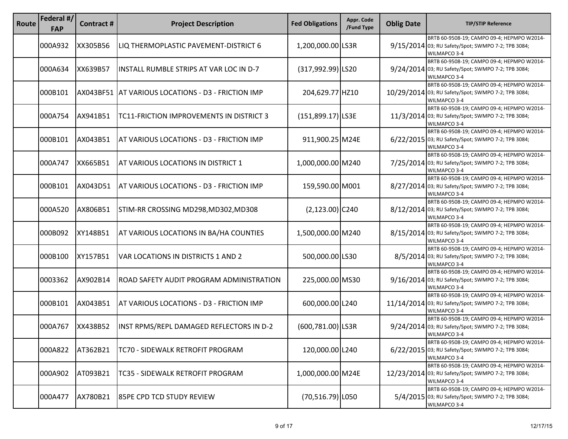| Route | Federal #/<br><b>FAP</b> | Contract # | <b>Project Description</b>                         | <b>Fed Obligations</b> | Appr. Code<br>/Fund Type | <b>Oblig Date</b> | <b>TIP/STIP Reference</b>                                                                                         |
|-------|--------------------------|------------|----------------------------------------------------|------------------------|--------------------------|-------------------|-------------------------------------------------------------------------------------------------------------------|
|       | 000A932                  | XX305B56   | LIQ THERMOPLASTIC PAVEMENT-DISTRICT 6              | 1,200,000.00 LS3R      |                          |                   | BRTB 60-9508-19; CAMPO 09-4; HEPMPO W2014-<br>9/15/2014 03; RU Safety/Spot; SWMPO 7-2; TPB 3084;<br>WILMAPCO 3-4  |
|       | 000A634                  | XX639B57   | INSTALL RUMBLE STRIPS AT VAR LOC IN D-7            | (317,992.99) LS20      |                          |                   | BRTB 60-9508-19; CAMPO 09-4; HEPMPO W2014-<br>9/24/2014 03; RU Safety/Spot; SWMPO 7-2; TPB 3084;<br>WILMAPCO 3-4  |
|       | 000B101                  |            | AX043BF51 AT VARIOUS LOCATIONS - D3 - FRICTION IMP | 204,629.77 HZ10        |                          |                   | BRTB 60-9508-19; CAMPO 09-4; HEPMPO W2014-<br>10/29/2014 03; RU Safety/Spot; SWMPO 7-2; TPB 3084;<br>WILMAPCO 3-4 |
|       | 000A754                  | AX941B51   | TC11-FRICTION IMPROVEMENTS IN DISTRICT 3           | $(151,899.17)$ LS3E    |                          |                   | BRTB 60-9508-19; CAMPO 09-4; HEPMPO W2014-<br>11/3/2014 03; RU Safety/Spot; SWMPO 7-2; TPB 3084;<br>WILMAPCO 3-4  |
|       | 000B101                  | AX043B51   | AT VARIOUS LOCATIONS - D3 - FRICTION IMP           | 911,900.25 M24E        |                          |                   | BRTB 60-9508-19; CAMPO 09-4; HEPMPO W2014-<br>6/22/2015 03; RU Safety/Spot; SWMPO 7-2; TPB 3084;<br>WILMAPCO 3-4  |
|       | 000A747                  | XX665B51   | AT VARIOUS LOCATIONS IN DISTRICT 1                 | 1,000,000.00 M240      |                          |                   | BRTB 60-9508-19; CAMPO 09-4; HEPMPO W2014-<br>7/25/2014 03; RU Safety/Spot; SWMPO 7-2; TPB 3084;<br>WILMAPCO 3-4  |
|       | 000B101                  | AX043D51   | AT VARIOUS LOCATIONS - D3 - FRICTION IMP           | 159,590.00 M001        |                          |                   | BRTB 60-9508-19; CAMPO 09-4; HEPMPO W2014-<br>8/27/2014 03; RU Safety/Spot; SWMPO 7-2; TPB 3084;<br>WILMAPCO 3-4  |
|       | 000A520                  | AX806B51   | STIM-RR CROSSING MD298, MD302, MD308               | $(2, 123.00)$ C240     |                          |                   | BRTB 60-9508-19; CAMPO 09-4; HEPMPO W2014-<br>8/12/2014 03; RU Safety/Spot; SWMPO 7-2; TPB 3084;<br>WILMAPCO 3-4  |
|       | 000B092                  | XY148B51   | AT VARIOUS LOCATIONS IN BA/HA COUNTIES             | 1,500,000.00 M240      |                          |                   | BRTB 60-9508-19; CAMPO 09-4; HEPMPO W2014-<br>8/15/2014 03; RU Safety/Spot; SWMPO 7-2; TPB 3084;<br>WILMAPCO 3-4  |
|       | 000B100                  | XY157B51   | VAR LOCATIONS IN DISTRICTS 1 AND 2                 | 500,000.00 LS30        |                          |                   | BRTB 60-9508-19; CAMPO 09-4; HEPMPO W2014-<br>8/5/2014 03; RU Safety/Spot; SWMPO 7-2; TPB 3084;<br>WILMAPCO 3-4   |
|       | 0003362                  | AX902B14   | ROAD SAFETY AUDIT PROGRAM ADMINISTRATION           | 225,000.00 MS30        |                          |                   | BRTB 60-9508-19; CAMPO 09-4; HEPMPO W2014-<br>9/16/2014 03; RU Safety/Spot; SWMPO 7-2; TPB 3084;<br>WILMAPCO 3-4  |
|       | 000B101                  | AX043B51   | AT VARIOUS LOCATIONS - D3 - FRICTION IMP           | 600,000.00 L240        |                          |                   | BRTB 60-9508-19; CAMPO 09-4; HEPMPO W2014-<br>11/14/2014 03; RU Safety/Spot; SWMPO 7-2; TPB 3084;<br>WILMAPCO 3-4 |
|       | 000A767                  | XX438B52   | INST RPMS/REPL DAMAGED REFLECTORS IN D-2           | (600,781.00) LS3R      |                          |                   | BRTB 60-9508-19; CAMPO 09-4; HEPMPO W2014-<br>9/24/2014 03; RU Safety/Spot; SWMPO 7-2; TPB 3084;<br>WILMAPCO 3-4  |
|       | 000A822                  | AT362B21   | TC70 - SIDEWALK RETROFIT PROGRAM                   | 120,000.00 L240        |                          |                   | BRTB 60-9508-19; CAMPO 09-4; HEPMPO W2014-<br>6/22/2015 03; RU Safety/Spot; SWMPO 7-2; TPB 3084;<br>WILMAPCO 3-4  |
|       | 000A902                  | AT093B21   | TC35 - SIDEWALK RETROFIT PROGRAM                   | 1,000,000.00 M24E      |                          |                   | BRTB 60-9508-19; CAMPO 09-4; HEPMPO W2014-<br>12/23/2014 03; RU Safety/Spot; SWMPO 7-2; TPB 3084;<br>WILMAPCO 3-4 |
|       | 000A477                  | AX780B21   | 85PE CPD TCD STUDY REVIEW                          | (70,516.79) L050       |                          |                   | BRTB 60-9508-19; CAMPO 09-4; HEPMPO W2014-<br>5/4/2015 03; RU Safety/Spot; SWMPO 7-2; TPB 3084;<br>WILMAPCO 3-4   |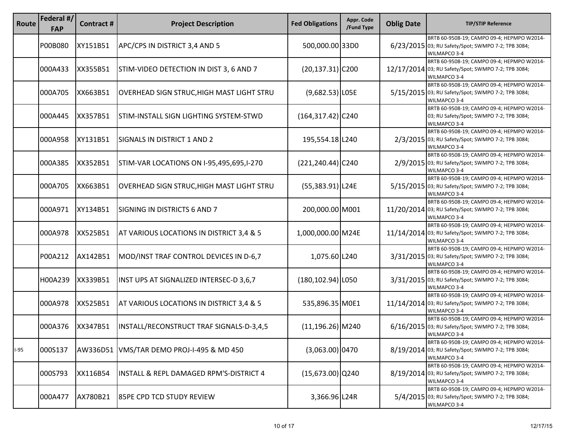| Route | Federal #/<br><b>FAP</b> | <b>Contract#</b> | <b>Project Description</b>                | <b>Fed Obligations</b> | Appr. Code<br>/Fund Type | <b>Oblig Date</b> | <b>TIP/STIP Reference</b>                                                                                         |
|-------|--------------------------|------------------|-------------------------------------------|------------------------|--------------------------|-------------------|-------------------------------------------------------------------------------------------------------------------|
|       | P00B080                  | XY151B51         | APC/CPS IN DISTRICT 3,4 AND 5             | 500,000.00 33D0        |                          |                   | BRTB 60-9508-19; CAMPO 09-4; HEPMPO W2014-<br>6/23/2015 03; RU Safety/Spot; SWMPO 7-2; TPB 3084;<br>WILMAPCO 3-4  |
|       | 000A433                  | XX355B51         | STIM-VIDEO DETECTION IN DIST 3, 6 AND 7   | $(20, 137.31)$ C200    |                          |                   | BRTB 60-9508-19; CAMPO 09-4; HEPMPO W2014-<br>12/17/2014 03; RU Safety/Spot; SWMPO 7-2; TPB 3084;<br>WILMAPCO 3-4 |
|       | 000A705                  | XX663B51         | OVERHEAD SIGN STRUC, HIGH MAST LIGHT STRU | $(9,682.53)$ LOSE      |                          |                   | BRTB 60-9508-19; CAMPO 09-4; HEPMPO W2014-<br>5/15/2015 03; RU Safety/Spot; SWMPO 7-2; TPB 3084;<br>WILMAPCO 3-4  |
|       | 000A445                  | XX357B51         | STIM-INSTALL SIGN LIGHTING SYSTEM-STWD    | $(164, 317.42)$ C240   |                          |                   | BRTB 60-9508-19; CAMPO 09-4; HEPMPO W2014-<br>03; RU Safety/Spot; SWMPO 7-2; TPB 3084;<br>WILMAPCO 3-4            |
|       | 000A958                  | XY131B51         | SIGNALS IN DISTRICT 1 AND 2               | 195,554.18 L240        |                          |                   | BRTB 60-9508-19; CAMPO 09-4; HEPMPO W2014-<br>2/3/2015 03; RU Safety/Spot; SWMPO 7-2; TPB 3084;<br>WILMAPCO 3-4   |
|       | 000A385                  | XX352B51         | STIM-VAR LOCATIONS ON I-95,495,695,I-270  | $(221, 240.44)$ C240   |                          |                   | BRTB 60-9508-19; CAMPO 09-4; HEPMPO W2014-<br>2/9/2015 03; RU Safety/Spot; SWMPO 7-2; TPB 3084;<br>WILMAPCO 3-4   |
|       | 000A705                  | XX663B51         | OVERHEAD SIGN STRUC, HIGH MAST LIGHT STRU | $(55,383.91)$ L24E     |                          |                   | BRTB 60-9508-19; CAMPO 09-4; HEPMPO W2014-<br>5/15/2015 03; RU Safety/Spot; SWMPO 7-2; TPB 3084;<br>WILMAPCO 3-4  |
|       | 000A971                  | XY134B51         | SIGNING IN DISTRICTS 6 AND 7              | 200,000.00 M001        |                          |                   | BRTB 60-9508-19; CAMPO 09-4; HEPMPO W2014-<br>11/20/2014 03; RU Safety/Spot; SWMPO 7-2; TPB 3084;<br>WILMAPCO 3-4 |
|       | 000A978                  | XX525B51         | AT VARIOUS LOCATIONS IN DISTRICT 3,4 & 5  | 1,000,000.00 M24E      |                          |                   | BRTB 60-9508-19; CAMPO 09-4; HEPMPO W2014-<br>11/14/2014 03; RU Safety/Spot; SWMPO 7-2; TPB 3084;<br>WILMAPCO 3-4 |
|       | P00A212                  | AX142B51         | MOD/INST TRAF CONTROL DEVICES IN D-6,7    | 1,075.60 L240          |                          |                   | BRTB 60-9508-19; CAMPO 09-4; HEPMPO W2014-<br>3/31/2015 03; RU Safety/Spot; SWMPO 7-2; TPB 3084;<br>WILMAPCO 3-4  |
|       | H00A239                  | XX339B51         | INST UPS AT SIGNALIZED INTERSEC-D 3,6,7   | $(180, 102.94)$  L050  |                          |                   | BRTB 60-9508-19; CAMPO 09-4; HEPMPO W2014-<br>3/31/2015 03; RU Safety/Spot; SWMPO 7-2; TPB 3084;<br>WILMAPCO 3-4  |
|       | 000A978                  | XX525B51         | AT VARIOUS LOCATIONS IN DISTRICT 3,4 & 5  | 535,896.35 M0E1        |                          |                   | BRTB 60-9508-19; CAMPO 09-4; HEPMPO W2014-<br>11/14/2014 03; RU Safety/Spot; SWMPO 7-2; TPB 3084;<br>WILMAPCO 3-4 |
|       | 000A376                  | XX347B51         | INSTALL/RECONSTRUCT TRAF SIGNALS-D-3,4,5  | $(11, 196.26)$ M240    |                          |                   | BRTB 60-9508-19; CAMPO 09-4; HEPMPO W2014-<br>6/16/2015 03; RU Safety/Spot; SWMPO 7-2; TPB 3084;<br>WILMAPCO 3-4  |
| I-95  | 000S137                  | AW336D51         | VMS/TAR DEMO PROJ-I-495 & MD 450          | $(3,063.00)$ 0470      |                          |                   | BRTB 60-9508-19; CAMPO 09-4; HEPMPO W2014-<br>8/19/2014 03; RU Safety/Spot; SWMPO 7-2; TPB 3084;<br>WILMAPCO 3-4  |
|       | 000S793                  | XX116B54         | INSTALL & REPL DAMAGED RPM'S-DISTRICT 4   | $(15,673.00)$ Q240     |                          |                   | BRTB 60-9508-19; CAMPO 09-4; HEPMPO W2014-<br>8/19/2014 03; RU Safety/Spot; SWMPO 7-2; TPB 3084;<br>WILMAPCO 3-4  |
|       | 000A477                  | AX780B21         | 85PE CPD TCD STUDY REVIEW                 | 3,366.96 L24R          |                          |                   | BRTB 60-9508-19; CAMPO 09-4; HEPMPO W2014-<br>5/4/2015 03; RU Safety/Spot; SWMPO 7-2; TPB 3084;<br>WILMAPCO 3-4   |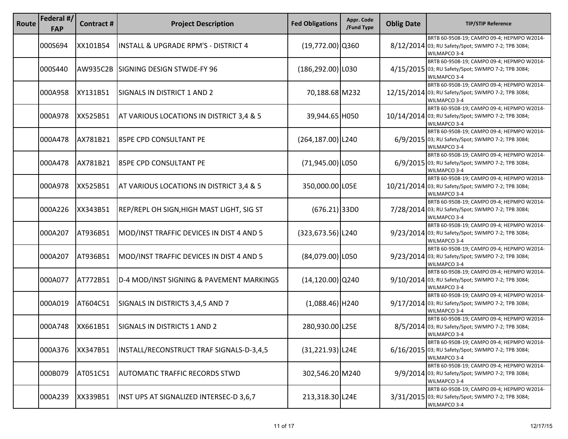| Route | Federal #/<br><b>FAP</b> | Contract # | <b>Project Description</b>                      | <b>Fed Obligations</b> | Appr. Code<br>/Fund Type | <b>Oblig Date</b> | <b>TIP/STIP Reference</b>                                                                                         |
|-------|--------------------------|------------|-------------------------------------------------|------------------------|--------------------------|-------------------|-------------------------------------------------------------------------------------------------------------------|
|       | 000S694                  | XX101B54   | <b>INSTALL &amp; UPGRADE RPM'S - DISTRICT 4</b> | $(19,772.00)$ Q360     |                          |                   | BRTB 60-9508-19; CAMPO 09-4; HEPMPO W2014-<br>8/12/2014 03; RU Safety/Spot; SWMPO 7-2; TPB 3084;<br>WILMAPCO 3-4  |
|       | 000S440                  | AW935C2B   | SIGNING DESIGN STWDE-FY 96                      | $(186, 292.00)$  L030  |                          |                   | BRTB 60-9508-19; CAMPO 09-4; HEPMPO W2014-<br>4/15/2015 03; RU Safety/Spot; SWMPO 7-2; TPB 3084;<br>WILMAPCO 3-4  |
|       | 000A958                  | XY131B51   | SIGNALS IN DISTRICT 1 AND 2                     | 70,188.68 M232         |                          |                   | BRTB 60-9508-19; CAMPO 09-4; HEPMPO W2014-<br>12/15/2014 03; RU Safety/Spot; SWMPO 7-2; TPB 3084;<br>WILMAPCO 3-4 |
|       | 000A978                  | XX525B51   | AT VARIOUS LOCATIONS IN DISTRICT 3,4 & 5        | 39,944.65 H050         |                          |                   | BRTB 60-9508-19; CAMPO 09-4; HEPMPO W2014-<br>10/14/2014 03; RU Safety/Spot; SWMPO 7-2; TPB 3084;<br>WILMAPCO 3-4 |
|       | 000A478                  | AX781B21   | 85PE CPD CONSULTANT PE                          | $(264, 187.00)$ L240   |                          |                   | BRTB 60-9508-19; CAMPO 09-4; HEPMPO W2014-<br>6/9/2015 03; RU Safety/Spot; SWMPO 7-2; TPB 3084;<br>WILMAPCO 3-4   |
|       | 000A478                  | AX781B21   | 85PE CPD CONSULTANT PE                          | $(71,945.00)$ L050     |                          |                   | BRTB 60-9508-19; CAMPO 09-4; HEPMPO W2014-<br>6/9/2015 03; RU Safety/Spot; SWMPO 7-2; TPB 3084;<br>WILMAPCO 3-4   |
|       | 000A978                  | XX525B51   | AT VARIOUS LOCATIONS IN DISTRICT 3,4 & 5        | 350,000.00 L05E        |                          |                   | BRTB 60-9508-19; CAMPO 09-4; HEPMPO W2014-<br>10/21/2014 03; RU Safety/Spot; SWMPO 7-2; TPB 3084;<br>WILMAPCO 3-4 |
|       | 000A226                  | XX343B51   | REP/REPL OH SIGN, HIGH MAST LIGHT, SIG ST       | $(676.21)$ 33D0        |                          |                   | BRTB 60-9508-19; CAMPO 09-4; HEPMPO W2014-<br>7/28/2014 03; RU Safety/Spot; SWMPO 7-2; TPB 3084;<br>WILMAPCO 3-4  |
|       | 000A207                  | AT936B51   | MOD/INST TRAFFIC DEVICES IN DIST 4 AND 5        | $(323, 673.56)$  L240  |                          |                   | BRTB 60-9508-19; CAMPO 09-4; HEPMPO W2014-<br>9/23/2014 03; RU Safety/Spot; SWMPO 7-2; TPB 3084;<br>WILMAPCO 3-4  |
|       | 000A207                  | AT936B51   | MOD/INST TRAFFIC DEVICES IN DIST 4 AND 5        | $(84,079.00)$ L050     |                          |                   | BRTB 60-9508-19; CAMPO 09-4; HEPMPO W2014-<br>9/23/2014 03; RU Safety/Spot; SWMPO 7-2; TPB 3084;<br>WILMAPCO 3-4  |
|       | 000A077                  | AT772B51   | D-4 MOD/INST SIGNING & PAVEMENT MARKINGS        | $(14, 120.00)$ Q240    |                          |                   | BRTB 60-9508-19; CAMPO 09-4; HEPMPO W2014-<br>9/10/2014 03; RU Safety/Spot; SWMPO 7-2; TPB 3084;<br>WILMAPCO 3-4  |
|       | 000A019                  | AT604C51   | SIGNALS IN DISTRICTS 3,4,5 AND 7                | $(1,088.46)$ H240      |                          |                   | BRTB 60-9508-19; CAMPO 09-4; HEPMPO W2014-<br>9/17/2014 03; RU Safety/Spot; SWMPO 7-2; TPB 3084;<br>WILMAPCO 3-4  |
|       | 000A748                  | XX661B51   | <b>SIGNALS IN DISTRICTS 1 AND 2</b>             | 280,930.00 L25E        |                          |                   | BRTB 60-9508-19; CAMPO 09-4; HEPMPO W2014-<br>8/5/2014 03; RU Safety/Spot; SWMPO 7-2; TPB 3084;<br>WILMAPCO 3-4   |
|       | 000A376                  | XX347B51   | INSTALL/RECONSTRUCT TRAF SIGNALS-D-3,4,5        | $(31,221.93)$ L24E     |                          |                   | BRTB 60-9508-19; CAMPO 09-4; HEPMPO W2014-<br>6/16/2015 03; RU Safety/Spot; SWMPO 7-2; TPB 3084;<br>WILMAPCO 3-4  |
|       | 000B079                  | AT051C51   | <b>AUTOMATIC TRAFFIC RECORDS STWD</b>           | 302,546.20 M240        |                          |                   | BRTB 60-9508-19; CAMPO 09-4; HEPMPO W2014-<br>9/9/2014 03; RU Safety/Spot; SWMPO 7-2; TPB 3084;<br>WILMAPCO 3-4   |
|       | 000A239                  | XX339B51   | INST UPS AT SIGNALIZED INTERSEC-D 3,6,7         | 213,318.30 L24E        |                          |                   | BRTB 60-9508-19; CAMPO 09-4; HEPMPO W2014-<br>3/31/2015 03; RU Safety/Spot; SWMPO 7-2; TPB 3084;<br>WILMAPCO 3-4  |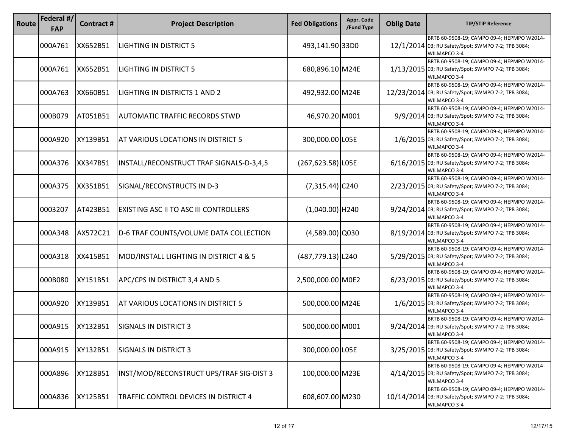| Route | Federal #/<br><b>FAP</b> | Contract # | <b>Project Description</b>                    | <b>Fed Obligations</b> | Appr. Code<br>/Fund Type | <b>Oblig Date</b> | <b>TIP/STIP Reference</b>                                                                                         |
|-------|--------------------------|------------|-----------------------------------------------|------------------------|--------------------------|-------------------|-------------------------------------------------------------------------------------------------------------------|
|       | 000A761                  | XX652B51   | LIGHTING IN DISTRICT 5                        | 493,141.90 33D0        |                          |                   | BRTB 60-9508-19; CAMPO 09-4; HEPMPO W2014-<br>12/1/2014 03; RU Safety/Spot; SWMPO 7-2; TPB 3084;<br>WILMAPCO 3-4  |
|       | 000A761                  | XX652B51   | LIGHTING IN DISTRICT 5                        | 680,896.10 M24E        |                          |                   | BRTB 60-9508-19; CAMPO 09-4; HEPMPO W2014-<br>1/13/2015 03; RU Safety/Spot; SWMPO 7-2; TPB 3084;<br>WILMAPCO 3-4  |
|       | 000A763                  | XX660B51   | LIGHTING IN DISTRICTS 1 AND 2                 | 492,932.00 M24E        |                          |                   | BRTB 60-9508-19; CAMPO 09-4; HEPMPO W2014-<br>12/23/2014 03; RU Safety/Spot; SWMPO 7-2; TPB 3084;<br>WILMAPCO 3-4 |
|       | 000B079                  | AT051B51   | AUTOMATIC TRAFFIC RECORDS STWD                | 46,970.20 M001         |                          |                   | BRTB 60-9508-19; CAMPO 09-4; HEPMPO W2014-<br>9/9/2014 03; RU Safety/Spot; SWMPO 7-2; TPB 3084;<br>WILMAPCO 3-4   |
|       | 000A920                  | XY139B51   | AT VARIOUS LOCATIONS IN DISTRICT 5            | 300,000.00 L05E        |                          |                   | BRTB 60-9508-19; CAMPO 09-4; HEPMPO W2014-<br>1/6/2015 03; RU Safety/Spot; SWMPO 7-2; TPB 3084;<br>WILMAPCO 3-4   |
|       | 000A376                  | XX347B51   | INSTALL/RECONSTRUCT TRAF SIGNALS-D-3,4,5      | (267,623.58) LOSE      |                          |                   | BRTB 60-9508-19; CAMPO 09-4; HEPMPO W2014-<br>6/16/2015 03; RU Safety/Spot; SWMPO 7-2; TPB 3084;<br>WILMAPCO 3-4  |
|       | 000A375                  | XX351B51   | SIGNAL/RECONSTRUCTS IN D-3                    | $(7,315.44)$ C240      |                          |                   | BRTB 60-9508-19; CAMPO 09-4; HEPMPO W2014-<br>2/23/2015 03; RU Safety/Spot; SWMPO 7-2; TPB 3084;<br>WILMAPCO 3-4  |
|       | 0003207                  | AT423B51   | <b>EXISTING ASC II TO ASC III CONTROLLERS</b> | $(1,040.00)$  H240     |                          |                   | BRTB 60-9508-19; CAMPO 09-4; HEPMPO W2014-<br>9/24/2014 03; RU Safety/Spot; SWMPO 7-2; TPB 3084;<br>WILMAPCO 3-4  |
|       | 000A348                  | AX572C21   | D-6 TRAF COUNTS/VOLUME DATA COLLECTION        | $(4,589.00)$ Q030      |                          |                   | BRTB 60-9508-19; CAMPO 09-4; HEPMPO W2014-<br>8/19/2014 03; RU Safety/Spot; SWMPO 7-2; TPB 3084;<br>WILMAPCO 3-4  |
|       | 000A318                  | XX415B51   | MOD/INSTALL LIGHTING IN DISTRICT 4 & 5        | (487,779.13) L240      |                          |                   | BRTB 60-9508-19; CAMPO 09-4; HEPMPO W2014-<br>5/29/2015 03; RU Safety/Spot; SWMPO 7-2; TPB 3084;<br>WILMAPCO 3-4  |
|       | 000B080                  | XY151B51   | APC/CPS IN DISTRICT 3,4 AND 5                 | 2,500,000.00 M0E2      |                          |                   | BRTB 60-9508-19; CAMPO 09-4; HEPMPO W2014-<br>6/23/2015 03; RU Safety/Spot; SWMPO 7-2; TPB 3084;<br>WILMAPCO 3-4  |
|       | 000A920                  | XY139B51   | AT VARIOUS LOCATIONS IN DISTRICT 5            | 500,000.00 M24E        |                          |                   | BRTB 60-9508-19; CAMPO 09-4; HEPMPO W2014-<br>1/6/2015 03; RU Safety/Spot; SWMPO 7-2; TPB 3084;<br>WILMAPCO 3-4   |
|       | 000A915                  | XY132B51   | <b>SIGNALS IN DISTRICT 3</b>                  | 500,000.00 M001        |                          |                   | BRTB 60-9508-19; CAMPO 09-4; HEPMPO W2014-<br>9/24/2014 03; RU Safety/Spot; SWMPO 7-2; TPB 3084;<br>WILMAPCO 3-4  |
|       | 000A915                  | XY132B51   | <b>SIGNALS IN DISTRICT 3</b>                  | 300,000.00 L05E        |                          |                   | BRTB 60-9508-19; CAMPO 09-4; HEPMPO W2014-<br>3/25/2015 03; RU Safety/Spot; SWMPO 7-2; TPB 3084;<br>WILMAPCO 3-4  |
|       | 000A896                  | XY128B51   | INST/MOD/RECONSTRUCT UPS/TRAF SIG-DIST 3      | 100,000.00 M23E        |                          |                   | BRTB 60-9508-19; CAMPO 09-4; HEPMPO W2014-<br>4/14/2015 03; RU Safety/Spot; SWMPO 7-2; TPB 3084;<br>WILMAPCO 3-4  |
|       | 000A836                  | XY125B51   | TRAFFIC CONTROL DEVICES IN DISTRICT 4         | 608,607.00 M230        |                          | 10/14/2014        | BRTB 60-9508-19; CAMPO 09-4; HEPMPO W2014-<br>03; RU Safety/Spot; SWMPO 7-2; TPB 3084;<br>WILMAPCO 3-4            |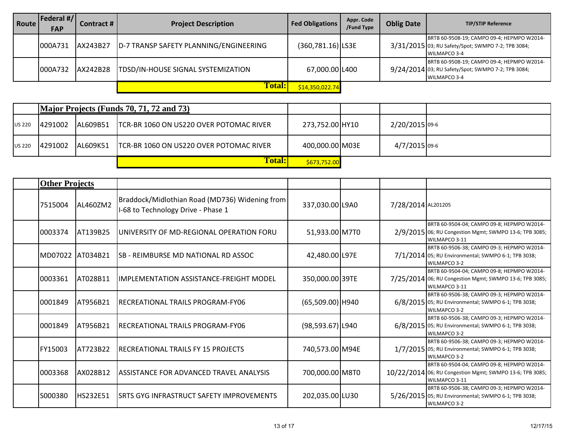| Route | Federal #/ <br><b>FAP</b> | Contract # | <b>Project Description</b>             | <b>Fed Obligations</b> | Appr. Code<br>/Fund Type | <b>Oblig Date</b> | <b>TIP/STIP Reference</b>                                                                                               |
|-------|---------------------------|------------|----------------------------------------|------------------------|--------------------------|-------------------|-------------------------------------------------------------------------------------------------------------------------|
|       | 000A731                   | AX243B27   | D-7 TRANSP SAFETY PLANNING/ENGINEERING | (360,781.16) LS3E      |                          |                   | BRTB 60-9508-19; CAMPO 09-4; HEPMPO W2014-<br>3/31/2015 03; RU Safety/Spot; SWMPO 7-2; TPB 3084;<br><b>WILMAPCO 3-4</b> |
|       | 000A732                   | AX242B28   | TDSD/IN-HOUSE SIGNAL SYSTEMIZATION     | 67,000.00 L400         |                          |                   | BRTB 60-9508-19; CAMPO 09-4; HEPMPO W2014-<br>9/24/2014 03; RU Safety/Spot; SWMPO 7-2; TPB 3084;<br><b>WILMAPCO 3-4</b> |
|       |                           |            | <b>Total:</b>                          | \$14,350,022.74        |                          |                   |                                                                                                                         |

|               |          |           | Major Projects (Funds 70, 71, 72 and 73) |                 |                |  |
|---------------|----------|-----------|------------------------------------------|-----------------|----------------|--|
| <b>US 220</b> | 14291002 | IAL609B51 | TCR-BR 1060 ON US220 OVER POTOMAC RIVER  | 273,752.00 HY10 | 2/20/2015 09-6 |  |
| <b>US 220</b> | 4291002  | IAL609K51 | TCR-BR 1060 ON US220 OVER POTOMAC RIVER  | 400,000.00 M03E | 4/7/2015 09-6  |  |
|               |          |           | <b>Total:</b>                            | \$673,752.00    |                |  |

| <b>Other Projects</b> |                  |                                                                                      |                      |                    |                                                                                                                          |
|-----------------------|------------------|--------------------------------------------------------------------------------------|----------------------|--------------------|--------------------------------------------------------------------------------------------------------------------------|
| 7515004               | AL460ZM2         | Braddock/Midlothian Road (MD736) Widening from<br>I-68 to Technology Drive - Phase 1 | 337,030.00 L9A0      | 7/28/2014 AL201205 |                                                                                                                          |
| 0003374               | IAT139B25        | UNIVERSITY OF MD-REGIONAL OPERATION FORU                                             | 51,933.00 M7T0       |                    | BRTB 60-9504-04; CAMPO 09-8; HEPMPO W2014-<br>2/9/2015 06; RU Congestion Mgmt; SWMPO 13-6; TPB 3085;<br>WILMAPCO 3-11    |
| MD07022 IAT034B21     |                  | SB - REIMBURSE MD NATIONAL RD ASSOC                                                  | 42,480.00 L97E       |                    | BRTB 60-9506-38; CAMPO 09-3; HEPMPO W2014-<br>7/1/2014 05; RU Environmental; SWMPO 6-1; TPB 3038;<br><b>WILMAPCO 3-2</b> |
| 0003361               | <b>IAT028B11</b> | <b>IMPLEMENTATION ASSISTANCE-FREIGHT MODEL</b>                                       | 350,000.00 39TE      |                    | BRTB 60-9504-04; CAMPO 09-8; HEPMPO W2014-<br>7/25/2014 06; RU Congestion Mgmt; SWMPO 13-6; TPB 3085;<br>WILMAPCO 3-11   |
| 0001849               | AT956B21         | RECREATIONAL TRAILS PROGRAM-FY06                                                     | $(65,509.00)$ H940   |                    | BRTB 60-9506-38; CAMPO 09-3; HEPMPO W2014-<br>6/8/2015 05; RU Environmental; SWMPO 6-1; TPB 3038;<br><b>WILMAPCO 3-2</b> |
| 0001849               | <b>JAT956B21</b> | RECREATIONAL TRAILS PROGRAM-FY06                                                     | $(98, 593.67)$  L940 |                    | BRTB 60-9506-38; CAMPO 09-3; HEPMPO W2014-<br>6/8/2015 05; RU Environmental; SWMPO 6-1; TPB 3038;<br>WILMAPCO 3-2        |
| FY15003               | AT723B22         | RECREATIONAL TRAILS FY 15 PROJECTS                                                   | 740,573.00 M94E      |                    | BRTB 60-9506-38; CAMPO 09-3; HEPMPO W2014-<br>1/7/2015 05; RU Environmental; SWMPO 6-1; TPB 3038;<br>WILMAPCO 3-2        |
| 0003368               | AX028B12         | ASSISTANCE FOR ADVANCED TRAVEL ANALYSIS                                              | 700,000.00 M8T0      |                    | BRTB 60-9504-04; CAMPO 09-8; HEPMPO W2014-<br>10/22/2014 06; RU Congestion Mgmt; SWMPO 13-6; TPB 3085;<br>WILMAPCO 3-11  |
| S000380               | <b>HS232E51</b>  | SRTS GYG INFRASTRUCT SAFETY IMPROVEMENTS                                             | 202,035.00 LU30      |                    | BRTB 60-9506-38; CAMPO 09-3; HEPMPO W2014-<br>5/26/2015 05; RU Environmental; SWMPO 6-1; TPB 3038;<br>WILMAPCO 3-2       |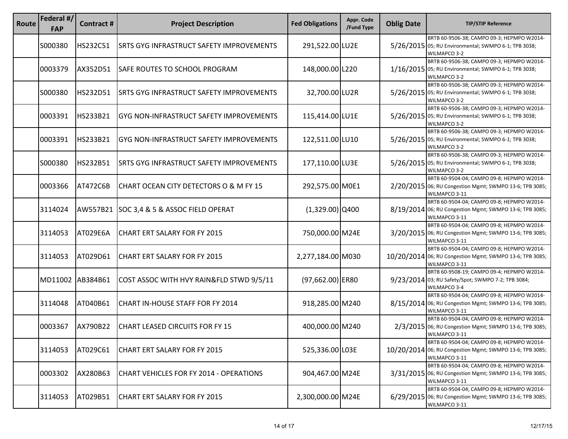| Route | Federal #/<br><b>FAP</b> | Contract#       | <b>Project Description</b>                      | <b>Fed Obligations</b> | Appr. Code<br>/Fund Type | <b>Oblig Date</b> | <b>TIP/STIP Reference</b>                                                                                               |
|-------|--------------------------|-----------------|-------------------------------------------------|------------------------|--------------------------|-------------------|-------------------------------------------------------------------------------------------------------------------------|
|       | S000380                  | <b>HS232C51</b> | <b>SRTS GYG INFRASTRUCT SAFETY IMPROVEMENTS</b> | 291,522.00 LU2E        |                          |                   | BRTB 60-9506-38; CAMPO 09-3; HEPMPO W2014-<br>5/26/2015 05; RU Environmental; SWMPO 6-1; TPB 3038;<br>WILMAPCO 3-2      |
|       | 0003379                  | AX352D51        | <b>SAFE ROUTES TO SCHOOL PROGRAM</b>            | 148,000.00 L220        |                          |                   | BRTB 60-9506-38; CAMPO 09-3; HEPMPO W2014-<br>1/16/2015 05; RU Environmental; SWMPO 6-1; TPB 3038;<br>WILMAPCO 3-2      |
|       | S000380                  | HS232D51        | <b>SRTS GYG INFRASTRUCT SAFETY IMPROVEMENTS</b> | 32,700.00 LU2R         |                          |                   | BRTB 60-9506-38; CAMPO 09-3; HEPMPO W2014-<br>5/26/2015 05; RU Environmental; SWMPO 6-1; TPB 3038;<br>WILMAPCO 3-2      |
|       | 0003391                  | HS233B21        | <b>GYG NON-INFRASTRUCT SAFETY IMPROVEMENTS</b>  | 115,414.00 LU1E        |                          |                   | BRTB 60-9506-38; CAMPO 09-3; HEPMPO W2014-<br>5/26/2015 05; RU Environmental; SWMPO 6-1; TPB 3038;<br>WILMAPCO 3-2      |
|       | 0003391                  | HS233B21        | GYG NON-INFRASTRUCT SAFETY IMPROVEMENTS         | 122,511.00 LU10        |                          |                   | BRTB 60-9506-38; CAMPO 09-3; HEPMPO W2014-<br>5/26/2015 05; RU Environmental; SWMPO 6-1; TPB 3038;<br>WILMAPCO 3-2      |
|       | S000380                  | HS232B51        | <b>SRTS GYG INFRASTRUCT SAFETY IMPROVEMENTS</b> | 177,110.00 LU3E        |                          |                   | BRTB 60-9506-38; CAMPO 09-3; HEPMPO W2014-<br>5/26/2015 05; RU Environmental; SWMPO 6-1; TPB 3038;<br>WILMAPCO 3-2      |
|       | 0003366                  | AT472C6B        | CHART OCEAN CITY DETECTORS O & M FY 15          | 292,575.00 M0E1        |                          |                   | BRTB 60-9504-04; CAMPO 09-8; HEPMPO W2014-<br>2/20/2015 06; RU Congestion Mgmt; SWMPO 13-6; TPB 3085;<br>WILMAPCO 3-11  |
|       | 3114024                  |                 | AW557B21 SOC 3,4 & 5 & ASSOC FIELD OPERAT       | $(1,329.00)$ Q400      |                          |                   | BRTB 60-9504-04; CAMPO 09-8; HEPMPO W2014-<br>8/19/2014 06; RU Congestion Mgmt; SWMPO 13-6; TPB 3085;<br>WILMAPCO 3-11  |
|       | 3114053                  | AT029E6A        | CHART ERT SALARY FOR FY 2015                    | 750,000.00 M24E        |                          |                   | BRTB 60-9504-04; CAMPO 09-8; HEPMPO W2014-<br>3/20/2015 06; RU Congestion Mgmt; SWMPO 13-6; TPB 3085;<br>WILMAPCO 3-11  |
|       | 3114053                  | AT029D61        | CHART ERT SALARY FOR FY 2015                    | 2,277,184.00 M030      |                          |                   | BRTB 60-9504-04; CAMPO 09-8; HEPMPO W2014-<br>10/20/2014 06; RU Congestion Mgmt; SWMPO 13-6; TPB 3085;<br>WILMAPCO 3-11 |
|       | MD11002                  | AB384B61        | COST ASSOC WITH HVY RAIN&FLD STWD 9/5/11        | $(97,662.00)$ ER80     |                          |                   | BRTB 60-9508-19; CAMPO 09-4; HEPMPO W2014-<br>9/23/2014 03; RU Safety/Spot; SWMPO 7-2; TPB 3084;<br>WILMAPCO 3-4        |
|       | 3114048                  | AT040B61        | CHART IN-HOUSE STAFF FOR FY 2014                | 918,285.00 M240        |                          |                   | BRTB 60-9504-04; CAMPO 09-8; HEPMPO W2014-<br>8/15/2014 06; RU Congestion Mgmt; SWMPO 13-6; TPB 3085;<br>WILMAPCO 3-11  |
|       | 0003367                  | AX790B22        | <b>CHART LEASED CIRCUITS FOR FY 15</b>          | 400,000.00 M240        |                          |                   | BRTB 60-9504-04; CAMPO 09-8; HEPMPO W2014-<br>2/3/2015 06; RU Congestion Mgmt; SWMPO 13-6; TPB 3085;<br>WILMAPCO 3-11   |
|       | 3114053                  | AT029C61        | CHART ERT SALARY FOR FY 2015                    | 525,336.00 L03E        |                          |                   | BRTB 60-9504-04; CAMPO 09-8; HEPMPO W2014-<br>10/20/2014 06; RU Congestion Mgmt; SWMPO 13-6; TPB 3085;<br>WILMAPCO 3-11 |
|       | 0003302                  | AX280B63        | CHART VEHICLES FOR FY 2014 - OPERATIONS         | 904,467.00 M24E        |                          |                   | BRTB 60-9504-04; CAMPO 09-8; HEPMPO W2014-<br>3/31/2015 06; RU Congestion Mgmt; SWMPO 13-6; TPB 3085;<br>WILMAPCO 3-11  |
|       | 3114053                  | AT029B51        | CHART ERT SALARY FOR FY 2015                    | 2,300,000.00 M24E      |                          |                   | BRTB 60-9504-04; CAMPO 09-8; HEPMPO W2014-<br>6/29/2015 06; RU Congestion Mgmt; SWMPO 13-6; TPB 3085;<br>WILMAPCO 3-11  |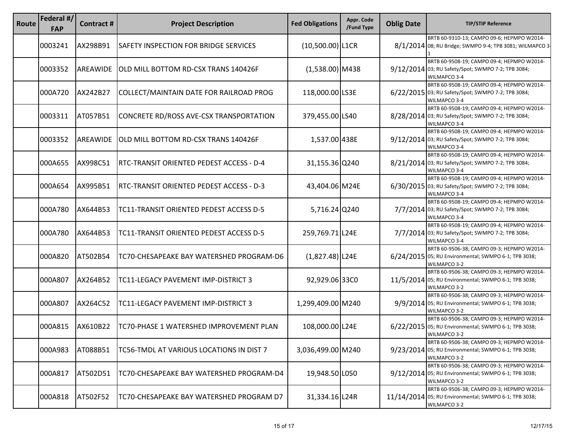| Route | Federal #/<br><b>FAP</b> | Contract#       | <b>Project Description</b>               | <b>Fed Obligations</b> | Appr. Code<br>/Fund Type | <b>Oblig Date</b> | <b>TIP/STIP Reference</b>                                                                                          |
|-------|--------------------------|-----------------|------------------------------------------|------------------------|--------------------------|-------------------|--------------------------------------------------------------------------------------------------------------------|
|       | 0003241                  | AX298B91        | SAFETY INSPECTION FOR BRIDGE SERVICES    | $(10,500.00)$  L1CR    |                          |                   | BRTB 60-9310-13; CAMPO 09-6; HEPMPO W2014-<br>8/1/2014 08; RU Bridge; SWMPO 9-4; TPB 3081; WILMAPCO 3-             |
|       | 0003352                  | <b>AREAWIDE</b> | OLD MILL BOTTOM RD-CSX TRANS 140426F     | $(1,538.00)$ M438      |                          |                   | BRTB 60-9508-19; CAMPO 09-4; HEPMPO W2014-<br>9/12/2014 03; RU Safety/Spot; SWMPO 7-2; TPB 3084;<br>WILMAPCO 3-4   |
|       | 000A720                  | AX242B27        | COLLECT/MAINTAIN DATE FOR RAILROAD PROG  | 118,000.00 LS3E        |                          |                   | BRTB 60-9508-19; CAMPO 09-4; HEPMPO W2014-<br>6/22/2015 03; RU Safety/Spot; SWMPO 7-2; TPB 3084;<br>WILMAPCO 3-4   |
|       | 0003311                  | AT057B51        | CONCRETE RD/ROSS AVE-CSX TRANSPORTATION  | 379,455.00 LS40        |                          |                   | BRTB 60-9508-19; CAMPO 09-4; HEPMPO W2014-<br>8/28/2014 03; RU Safety/Spot; SWMPO 7-2; TPB 3084;<br>WILMAPCO 3-4   |
|       | 0003352                  | AREAWIDE        | OLD MILL BOTTOM RD-CSX TRANS 140426F     | 1,537.00 438E          |                          |                   | BRTB 60-9508-19; CAMPO 09-4; HEPMPO W2014-<br>9/12/2014 03; RU Safety/Spot; SWMPO 7-2; TPB 3084;<br>WILMAPCO 3-4   |
|       | 000A655                  | AX998C51        | RTC-TRANSIT ORIENTED PEDEST ACCESS - D-4 | 31,155.36 Q240         |                          |                   | BRTB 60-9508-19; CAMPO 09-4; HEPMPO W2014-<br>8/21/2014 03; RU Safety/Spot; SWMPO 7-2; TPB 3084;<br>WILMAPCO 3-4   |
|       | 000A654                  | AX995B51        | RTC-TRANSIT ORIENTED PEDEST ACCESS - D-3 | 43,404.06 M24E         |                          |                   | BRTB 60-9508-19; CAMPO 09-4; HEPMPO W2014-<br>6/30/2015 03; RU Safety/Spot; SWMPO 7-2; TPB 3084;<br>WILMAPCO 3-4   |
|       | 000A780                  | AX644B53        | TC11-TRANSIT ORIENTED PEDEST ACCESS D-5  | 5,716.24 Q240          |                          |                   | BRTB 60-9508-19; CAMPO 09-4; HEPMPO W2014-<br>7/7/2014 03; RU Safety/Spot; SWMPO 7-2; TPB 3084;<br>WILMAPCO 3-4    |
|       | 000A780                  | AX644B53        | TC11-TRANSIT ORIENTED PEDEST ACCESS D-5  | 259,769.71 L24E        |                          |                   | BRTB 60-9508-19; CAMPO 09-4; HEPMPO W2014-<br>7/7/2014 03; RU Safety/Spot; SWMPO 7-2; TPB 3084;<br>WILMAPCO 3-4    |
|       | 000A820                  | AT502B54        | TC70-CHESAPEAKE BAY WATERSHED PROGRAM-D6 | $(1,827.48)$ L24E      |                          |                   | BRTB 60-9506-38; CAMPO 09-3; HEPMPO W2014-<br>6/24/2015 05; RU Environmental; SWMPO 6-1; TPB 3038;<br>WILMAPCO 3-2 |
|       | 000A807                  | AX264B52        | TC11-LEGACY PAVEMENT IMP-DISTRICT 3      | 92,929.06 33C0         |                          |                   | BRTB 60-9506-38; CAMPO 09-3; HEPMPO W2014-<br>11/5/2014 05; RU Environmental; SWMPO 6-1; TPB 3038;<br>WILMAPCO 3-2 |
|       | 000A807                  | AX264C52        | TC11-LEGACY PAVEMENT IMP-DISTRICT 3      | 1,299,409.00 M240      |                          |                   | BRTB 60-9506-38; CAMPO 09-3; HEPMPO W2014-<br>9/9/2014 05; RU Environmental; SWMPO 6-1; TPB 3038;<br>WILMAPCO 3-2  |
|       | 000A815                  | AX610B22        | TC70-PHASE 1 WATERSHED IMPROVEMENT PLAN  | 108,000.00 L24E        |                          |                   | BRTB 60-9506-38; CAMPO 09-3; HEPMPO W2014-<br>6/22/2015 05; RU Environmental; SWMPO 6-1; TPB 3038;<br>WILMAPCO 3-2 |
|       | 000A983                  | AT088B51        | TC56-TMDL AT VARIOUS LOCATIONS IN DIST 7 | 3,036,499.00 M240      |                          |                   | BRTB 60-9506-38; CAMPO 09-3; HEPMPO W2014-<br>9/23/2014 05; RU Environmental; SWMPO 6-1; TPB 3038;<br>WILMAPCO 3-2 |
|       | 000A817                  | AT502D51        | TC70-CHESAPEAKE BAY WATERSHED PROGRAM-D4 | 19,948.50 L050         |                          |                   | BRTB 60-9506-38; CAMPO 09-3; HEPMPO W2014-<br>9/12/2014 05; RU Environmental; SWMPO 6-1; TPB 3038;<br>WILMAPCO 3-2 |
|       | 000A818                  | AT502F52        | TC70-CHESAPEAKE BAY WATERSHED PROGRAM D7 | 31,334.16 L24R         |                          | 11/14/2014        | BRTB 60-9506-38; CAMPO 09-3; HEPMPO W2014-<br>05; RU Environmental; SWMPO 6-1; TPB 3038;<br>WILMAPCO 3-2           |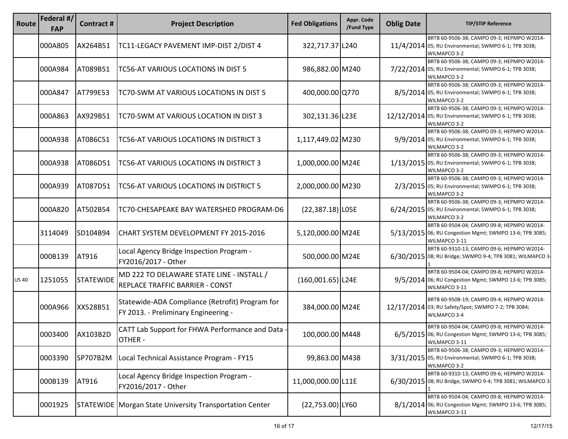| Route       | Federal #/<br><b>FAP</b> | <b>Contract#</b> | <b>Project Description</b>                                                              | <b>Fed Obligations</b> | Appr. Code<br>/Fund Type | <b>Oblig Date</b> | <b>TIP/STIP Reference</b>                                                                                              |
|-------------|--------------------------|------------------|-----------------------------------------------------------------------------------------|------------------------|--------------------------|-------------------|------------------------------------------------------------------------------------------------------------------------|
|             | 000A805                  | AX264B51         | TC11-LEGACY PAVEMENT IMP-DIST 2/DIST 4                                                  | 322,717.37 L240        |                          |                   | BRTB 60-9506-38; CAMPO 09-3; HEPMPO W2014-<br>11/4/2014 05; RU Environmental; SWMPO 6-1; TPB 3038;<br>WILMAPCO 3-2     |
|             | 000A984                  | AT089B51         | TC56-AT VARIOUS LOCATIONS IN DIST 5                                                     | 986,882.00 M240        |                          |                   | BRTB 60-9506-38; CAMPO 09-3; HEPMPO W2014-<br>7/22/2014 05; RU Environmental; SWMPO 6-1; TPB 3038;<br>WILMAPCO 3-2     |
|             | 000A847                  | AT799E53         | TC70-SWM AT VARIOUS LOCATIONS IN DIST 5                                                 | 400,000.00 Q770        |                          |                   | BRTB 60-9506-38; CAMPO 09-3; HEPMPO W2014-<br>8/5/2014 05; RU Environmental; SWMPO 6-1; TPB 3038;<br>WILMAPCO 3-2      |
|             | 000A863                  | AX929B51         | TC70-SWM AT VARIOUS LOCATION IN DIST 3                                                  | 302,131.36 L23E        |                          |                   | BRTB 60-9506-38; CAMPO 09-3; HEPMPO W2014-<br>12/12/2014 05; RU Environmental; SWMPO 6-1; TPB 3038;<br>WILMAPCO 3-2    |
|             | 000A938                  | AT086C51         | TC56-AT VARIOUS LOCATIONS IN DISTRICT 3                                                 | 1,117,449.02 M230      |                          |                   | BRTB 60-9506-38; CAMPO 09-3; HEPMPO W2014-<br>9/9/2014 05; RU Environmental; SWMPO 6-1; TPB 3038;<br>WILMAPCO 3-2      |
|             | 000A938                  | AT086D51         | TC56-AT VARIOUS LOCATIONS IN DISTRICT 3                                                 | 1,000,000.00 M24E      |                          |                   | BRTB 60-9506-38; CAMPO 09-3; HEPMPO W2014-<br>1/13/2015 05; RU Environmental; SWMPO 6-1; TPB 3038;<br>WILMAPCO 3-2     |
|             | 000A939                  | AT087D51         | TC56-AT VARIOUS LOCATIONS IN DISTRICT 5                                                 | 2,000,000.00 M230      |                          |                   | BRTB 60-9506-38; CAMPO 09-3; HEPMPO W2014-<br>2/3/2015 05; RU Environmental; SWMPO 6-1; TPB 3038;<br>WILMAPCO 3-2      |
|             | 000A820                  | AT502B54         | TC70-CHESAPEAKE BAY WATERSHED PROGRAM-D6                                                | $(22, 387.18)$ LOSE    |                          |                   | BRTB 60-9506-38; CAMPO 09-3; HEPMPO W2014-<br>6/24/2015 05; RU Environmental; SWMPO 6-1; TPB 3038;<br>WILMAPCO 3-2     |
|             | 3114049                  | SD104B94         | CHART SYSTEM DEVELOPMENT FY 2015-2016                                                   | 5,120,000.00 M24E      |                          |                   | BRTB 60-9504-04; CAMPO 09-8; HEPMPO W2014-<br>5/13/2015 06; RU Congestion Mgmt; SWMPO 13-6; TPB 3085;<br>WILMAPCO 3-11 |
|             | 000B139                  | AT916            | Local Agency Bridge Inspection Program -<br>FY2016/2017 - Other                         | 500,000.00 M24E        |                          |                   | BRTB 60-9310-13; CAMPO 09-6; HEPMPO W2014-<br>6/30/2015 08; RU Bridge; SWMPO 9-4; TPB 3081; WILMAPCO 3                 |
| <b>US40</b> | 1251055                  | <b>STATEWIDE</b> | MD 222 TO DELAWARE STATE LINE - INSTALL /<br>REPLACE TRAFFIC BARRIER - CONST            | $(160,001.65)$  L24E   |                          |                   | BRTB 60-9504-04; CAMPO 09-8; HEPMPO W2014-<br>9/5/2014 06; RU Congestion Mgmt; SWMPO 13-6; TPB 3085;<br>WILMAPCO 3-11  |
|             | 000A966                  | XX528B51         | Statewide-ADA Compliance (Retrofit) Program for<br>FY 2013. - Preliminary Engineering - | 384,000.00 M24E        |                          |                   | BRTB 60-9508-19; CAMPO 09-4; HEPMPO W2014-<br>12/17/2014 03; RU Safety/Spot; SWMPO 7-2; TPB 3084;<br>WILMAPCO 3-4      |
|             | 0003400                  | AX103B2D         | CATT Lab Support for FHWA Performance and Data<br>OTHER -                               | 100,000.00 M448        |                          |                   | BRTB 60-9504-04; CAMPO 09-8; HEPMPO W2014-<br>6/5/2015 06; RU Congestion Mgmt; SWMPO 13-6; TPB 3085;<br>WILMAPCO 3-11  |
|             | 0003390                  | SP707B2M         | Local Technical Assistance Program - FY15                                               | 99,863.00 M438         |                          |                   | BRTB 60-9506-38; CAMPO 09-3; HEPMPO W2014-<br>3/31/2015 05; RU Environmental; SWMPO 6-1; TPB 3038;<br>WILMAPCO 3-2     |
|             | 000B139                  | AT916            | Local Agency Bridge Inspection Program -<br>FY2016/2017 - Other                         | 11,000,000.00 L11E     |                          |                   | BRTB 60-9310-13; CAMPO 09-6; HEPMPO W2014-<br>6/30/2015 08; RU Bridge; SWMPO 9-4; TPB 3081; WILMAPCO 3-                |
|             | 0001925                  |                  | <b>STATEWIDE   Morgan State University Transportation Center</b>                        | $(22,753.00)$ LY60     |                          |                   | BRTB 60-9504-04; CAMPO 09-8; HEPMPO W2014-<br>8/1/2014 06; RU Congestion Mgmt; SWMPO 13-6; TPB 3085;<br>WILMAPCO 3-11  |